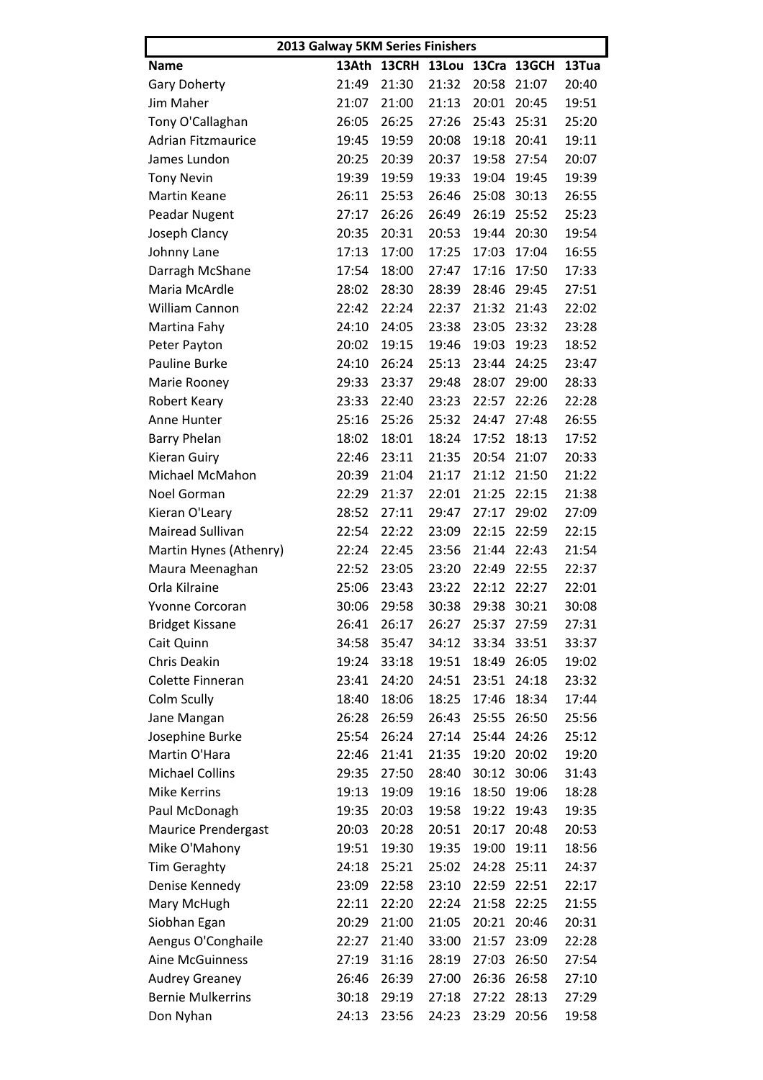| 2013 Galway 5KM Series Finishers |       |              |             |             |       |       |  |  |
|----------------------------------|-------|--------------|-------------|-------------|-------|-------|--|--|
| Name                             | 13Ath | <b>13CRH</b> | 13Lou 13Cra |             | 13GCH | 13Tua |  |  |
| Gary Doherty                     | 21:49 | 21:30        | 21:32       | 20:58       | 21:07 | 20:40 |  |  |
| Jim Maher                        | 21:07 | 21:00        | 21:13       | 20:01       | 20:45 | 19:51 |  |  |
| Tony O'Callaghan                 | 26:05 | 26:25        | 27:26       | 25:43       | 25:31 | 25:20 |  |  |
| <b>Adrian Fitzmaurice</b>        | 19:45 | 19:59        | 20:08       | 19:18       | 20:41 | 19:11 |  |  |
| James Lundon                     | 20:25 | 20:39        | 20:37       | 19:58       | 27:54 | 20:07 |  |  |
| <b>Tony Nevin</b>                | 19:39 | 19:59        | 19:33       | 19:04       | 19:45 | 19:39 |  |  |
| <b>Martin Keane</b>              | 26:11 | 25:53        | 26:46       | 25:08       | 30:13 | 26:55 |  |  |
| Peadar Nugent                    | 27:17 | 26:26        | 26:49       | 26:19       | 25:52 | 25:23 |  |  |
| Joseph Clancy                    | 20:35 | 20:31        | 20:53       | 19:44       | 20:30 | 19:54 |  |  |
| Johnny Lane                      | 17:13 | 17:00        | 17:25       | 17:03       | 17:04 | 16:55 |  |  |
| Darragh McShane                  | 17:54 | 18:00        | 27:47       | 17:16       | 17:50 | 17:33 |  |  |
| Maria McArdle                    | 28:02 | 28:30        | 28:39       | 28:46       | 29:45 | 27:51 |  |  |
| William Cannon                   | 22:42 | 22:24        | 22:37       | 21:32       | 21:43 | 22:02 |  |  |
| Martina Fahy                     | 24:10 | 24:05        | 23:38       | 23:05       | 23:32 | 23:28 |  |  |
| Peter Payton                     | 20:02 | 19:15        | 19:46       | 19:03       | 19:23 | 18:52 |  |  |
| Pauline Burke                    | 24:10 | 26:24        | 25:13       | 23:44       | 24:25 | 23:47 |  |  |
| Marie Rooney                     | 29:33 | 23:37        | 29:48       | 28:07       | 29:00 | 28:33 |  |  |
| Robert Keary                     | 23:33 | 22:40        | 23:23       | 22:57       | 22:26 | 22:28 |  |  |
| Anne Hunter                      | 25:16 | 25:26        | 25:32       | 24:47       | 27:48 | 26:55 |  |  |
| <b>Barry Phelan</b>              | 18:02 | 18:01        | 18:24       | 17:52       | 18:13 | 17:52 |  |  |
| Kieran Guiry                     | 22:46 | 23:11        | 21:35       | 20:54       | 21:07 | 20:33 |  |  |
| Michael McMahon                  | 20:39 | 21:04        | 21:17       | 21:12       | 21:50 | 21:22 |  |  |
| Noel Gorman                      | 22:29 | 21:37        | 22:01       | 21:25       | 22:15 | 21:38 |  |  |
| Kieran O'Leary                   | 28:52 | 27:11        | 29:47       | 27:17       | 29:02 | 27:09 |  |  |
| Mairead Sullivan                 | 22:54 | 22:22        | 23:09       | 22:15       | 22:59 | 22:15 |  |  |
| Martin Hynes (Athenry)           | 22:24 | 22:45        | 23:56       | 21:44       | 22:43 | 21:54 |  |  |
| Maura Meenaghan                  | 22:52 | 23:05        | 23:20       | 22:49       | 22:55 | 22:37 |  |  |
| Orla Kilraine                    | 25:06 | 23:43        | 23:22       | 22:12       | 22:27 | 22:01 |  |  |
| Yvonne Corcoran                  | 30:06 | 29:58        | 30:38       | 29:38       | 30:21 | 30:08 |  |  |
| <b>Bridget Kissane</b>           | 26:41 | 26:17        | 26:27       | 25:37 27:59 |       | 27:31 |  |  |
| Cait Quinn                       | 34:58 | 35:47        | 34:12       | 33:34       | 33:51 | 33:37 |  |  |
| Chris Deakin                     | 19:24 | 33:18        | 19:51       | 18:49       | 26:05 | 19:02 |  |  |
| Colette Finneran                 | 23:41 | 24:20        | 24:51       | 23:51       | 24:18 | 23:32 |  |  |
| Colm Scully                      | 18:40 | 18:06        | 18:25       | 17:46       | 18:34 | 17:44 |  |  |
| Jane Mangan                      | 26:28 | 26:59        | 26:43       | 25:55       | 26:50 | 25:56 |  |  |
| Josephine Burke                  | 25:54 | 26:24        | 27:14       | 25:44       | 24:26 | 25:12 |  |  |
| Martin O'Hara                    | 22:46 | 21:41        | 21:35       | 19:20       | 20:02 | 19:20 |  |  |
| <b>Michael Collins</b>           | 29:35 | 27:50        | 28:40       | 30:12       | 30:06 | 31:43 |  |  |
| <b>Mike Kerrins</b>              | 19:13 | 19:09        | 19:16       | 18:50       | 19:06 | 18:28 |  |  |
| Paul McDonagh                    | 19:35 | 20:03        | 19:58       | 19:22       | 19:43 | 19:35 |  |  |
| <b>Maurice Prendergast</b>       | 20:03 | 20:28        | 20:51       | 20:17       | 20:48 | 20:53 |  |  |
| Mike O'Mahony                    | 19:51 | 19:30        | 19:35       | 19:00       | 19:11 | 18:56 |  |  |
| <b>Tim Geraghty</b>              | 24:18 | 25:21        | 25:02       | 24:28       | 25:11 | 24:37 |  |  |
| Denise Kennedy                   | 23:09 | 22:58        | 23:10       | 22:59       | 22:51 | 22:17 |  |  |
| Mary McHugh                      | 22:11 | 22:20        | 22:24       | 21:58       | 22:25 | 21:55 |  |  |
| Siobhan Egan                     | 20:29 | 21:00        | 21:05       | 20:21       | 20:46 | 20:31 |  |  |
| Aengus O'Conghaile               | 22:27 | 21:40        | 33:00       | 21:57       | 23:09 | 22:28 |  |  |
| <b>Aine McGuinness</b>           | 27:19 | 31:16        | 28:19       | 27:03       | 26:50 | 27:54 |  |  |
| <b>Audrey Greaney</b>            | 26:46 | 26:39        | 27:00       | 26:36       | 26:58 | 27:10 |  |  |
| <b>Bernie Mulkerrins</b>         | 30:18 | 29:19        | 27:18       | 27:22       | 28:13 | 27:29 |  |  |
|                                  |       |              |             |             |       |       |  |  |
| Don Nyhan                        | 24:13 | 23:56        | 24:23       | 23:29       | 20:56 | 19:58 |  |  |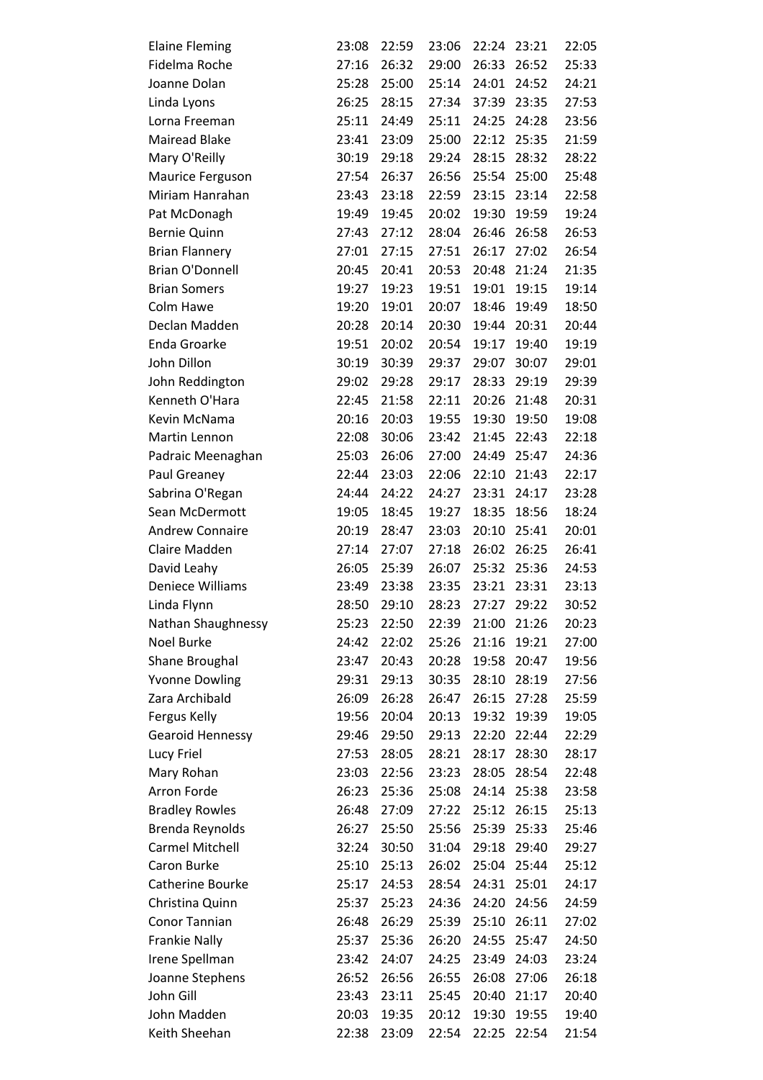| <b>Elaine Fleming</b>   | 23:08 | 22:59 | 23:06 | 22:24 | 23:21 | 22:05 |
|-------------------------|-------|-------|-------|-------|-------|-------|
| Fidelma Roche           | 27:16 | 26:32 | 29:00 | 26:33 | 26:52 | 25:33 |
| Joanne Dolan            | 25:28 | 25:00 | 25:14 | 24:01 | 24:52 | 24:21 |
| Linda Lyons             | 26:25 | 28:15 | 27:34 | 37:39 | 23:35 | 27:53 |
| Lorna Freeman           | 25:11 | 24:49 | 25:11 | 24:25 | 24:28 | 23:56 |
| <b>Mairead Blake</b>    | 23:41 | 23:09 | 25:00 | 22:12 | 25:35 | 21:59 |
| Mary O'Reilly           | 30:19 | 29:18 | 29:24 | 28:15 | 28:32 | 28:22 |
| Maurice Ferguson        | 27:54 | 26:37 | 26:56 | 25:54 | 25:00 | 25:48 |
| Miriam Hanrahan         | 23:43 | 23:18 | 22:59 | 23:15 | 23:14 | 22:58 |
| Pat McDonagh            | 19:49 | 19:45 | 20:02 | 19:30 | 19:59 | 19:24 |
| <b>Bernie Quinn</b>     | 27:43 | 27:12 | 28:04 | 26:46 | 26:58 | 26:53 |
| <b>Brian Flannery</b>   | 27:01 | 27:15 | 27:51 | 26:17 | 27:02 | 26:54 |
| <b>Brian O'Donnell</b>  | 20:45 | 20:41 | 20:53 | 20:48 | 21:24 | 21:35 |
| <b>Brian Somers</b>     | 19:27 | 19:23 | 19:51 | 19:01 | 19:15 | 19:14 |
| Colm Hawe               | 19:20 | 19:01 | 20:07 | 18:46 | 19:49 | 18:50 |
| Declan Madden           | 20:28 | 20:14 | 20:30 | 19:44 | 20:31 | 20:44 |
| <b>Enda Groarke</b>     | 19:51 | 20:02 | 20:54 | 19:17 | 19:40 | 19:19 |
| John Dillon             | 30:19 | 30:39 | 29:37 | 29:07 | 30:07 | 29:01 |
| John Reddington         | 29:02 | 29:28 | 29:17 | 28:33 | 29:19 | 29:39 |
| Kenneth O'Hara          | 22:45 | 21:58 | 22:11 | 20:26 | 21:48 | 20:31 |
| Kevin McNama            | 20:16 | 20:03 | 19:55 | 19:30 | 19:50 | 19:08 |
| Martin Lennon           | 22:08 | 30:06 | 23:42 | 21:45 | 22:43 | 22:18 |
| Padraic Meenaghan       | 25:03 | 26:06 | 27:00 | 24:49 | 25:47 | 24:36 |
| Paul Greaney            | 22:44 | 23:03 | 22:06 | 22:10 | 21:43 | 22:17 |
| Sabrina O'Regan         | 24:44 | 24:22 | 24:27 | 23:31 | 24:17 | 23:28 |
| Sean McDermott          | 19:05 | 18:45 | 19:27 | 18:35 | 18:56 | 18:24 |
| <b>Andrew Connaire</b>  | 20:19 | 28:47 | 23:03 | 20:10 | 25:41 | 20:01 |
| Claire Madden           | 27:14 | 27:07 | 27:18 | 26:02 | 26:25 | 26:41 |
| David Leahy             | 26:05 | 25:39 | 26:07 | 25:32 | 25:36 | 24:53 |
| Deniece Williams        | 23:49 | 23:38 | 23:35 | 23:21 | 23:31 | 23:13 |
| Linda Flynn             | 28:50 | 29:10 | 28:23 | 27:27 | 29:22 | 30:52 |
| Nathan Shaughnessy      | 25:23 | 22:50 | 22:39 | 21:00 | 21:26 | 20:23 |
| Noel Burke              | 24:42 | 22:02 | 25:26 | 21:16 | 19:21 | 27:00 |
| <b>Shane Broughal</b>   | 23:47 | 20:43 | 20:28 | 19:58 | 20:47 | 19:56 |
| <b>Yvonne Dowling</b>   | 29:31 | 29:13 | 30:35 | 28:10 | 28:19 | 27:56 |
| Zara Archibald          | 26:09 | 26:28 | 26:47 | 26:15 | 27:28 | 25:59 |
| Fergus Kelly            | 19:56 | 20:04 | 20:13 | 19:32 | 19:39 | 19:05 |
| <b>Gearoid Hennessy</b> | 29:46 | 29:50 | 29:13 | 22:20 | 22:44 | 22:29 |
| Lucy Friel              | 27:53 | 28:05 | 28:21 | 28:17 | 28:30 | 28:17 |
| Mary Rohan              | 23:03 | 22:56 | 23:23 | 28:05 | 28:54 | 22:48 |
| Arron Forde             | 26:23 | 25:36 | 25:08 | 24:14 | 25:38 | 23:58 |
| <b>Bradley Rowles</b>   | 26:48 | 27:09 | 27:22 | 25:12 | 26:15 | 25:13 |
| Brenda Reynolds         | 26:27 | 25:50 | 25:56 | 25:39 | 25:33 | 25:46 |
| <b>Carmel Mitchell</b>  | 32:24 | 30:50 | 31:04 | 29:18 | 29:40 | 29:27 |
| Caron Burke             | 25:10 | 25:13 | 26:02 | 25:04 | 25:44 | 25:12 |
| Catherine Bourke        | 25:17 | 24:53 | 28:54 | 24:31 | 25:01 | 24:17 |
| Christina Quinn         | 25:37 | 25:23 | 24:36 | 24:20 | 24:56 | 24:59 |
| Conor Tannian           | 26:48 | 26:29 | 25:39 | 25:10 | 26:11 | 27:02 |
| <b>Frankie Nally</b>    | 25:37 | 25:36 | 26:20 | 24:55 | 25:47 | 24:50 |
| Irene Spellman          | 23:42 | 24:07 | 24:25 | 23:49 | 24:03 | 23:24 |
| Joanne Stephens         | 26:52 | 26:56 | 26:55 | 26:08 | 27:06 | 26:18 |
| John Gill               | 23:43 | 23:11 | 25:45 | 20:40 | 21:17 | 20:40 |
| John Madden             | 20:03 | 19:35 | 20:12 | 19:30 | 19:55 | 19:40 |
| Keith Sheehan           | 22:38 | 23:09 | 22:54 | 22:25 | 22:54 | 21:54 |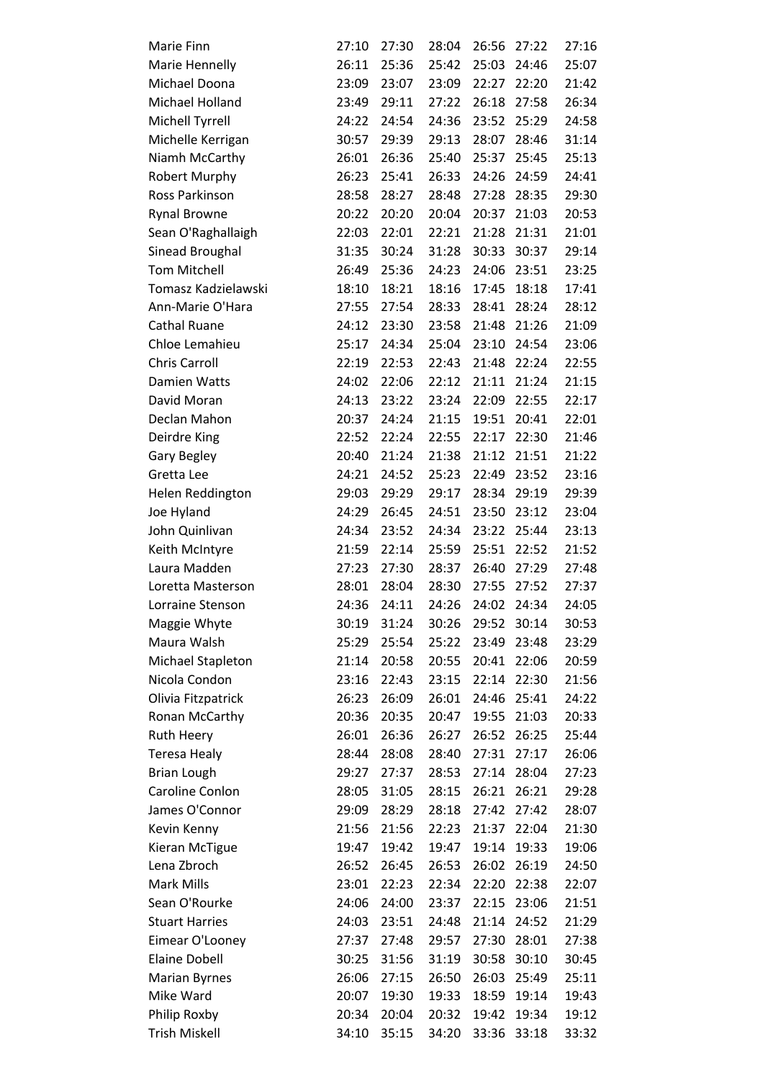| Marie Finn            | 27:10 | 27:30 | 28:04 | 26:56 | 27:22       | 27:16 |
|-----------------------|-------|-------|-------|-------|-------------|-------|
| Marie Hennelly        | 26:11 | 25:36 | 25:42 | 25:03 | 24:46       | 25:07 |
| Michael Doona         | 23:09 | 23:07 | 23:09 | 22:27 | 22:20       | 21:42 |
| Michael Holland       | 23:49 | 29:11 | 27:22 | 26:18 | 27:58       | 26:34 |
| Michell Tyrrell       | 24:22 | 24:54 | 24:36 | 23:52 | 25:29       | 24:58 |
| Michelle Kerrigan     | 30:57 | 29:39 | 29:13 | 28:07 | 28:46       | 31:14 |
| Niamh McCarthy        | 26:01 | 26:36 | 25:40 | 25:37 | 25:45       | 25:13 |
| <b>Robert Murphy</b>  | 26:23 | 25:41 | 26:33 | 24:26 | 24:59       | 24:41 |
| Ross Parkinson        | 28:58 | 28:27 | 28:48 | 27:28 | 28:35       | 29:30 |
| <b>Rynal Browne</b>   | 20:22 | 20:20 | 20:04 | 20:37 | 21:03       | 20:53 |
| Sean O'Raghallaigh    | 22:03 | 22:01 | 22:21 | 21:28 | 21:31       | 21:01 |
| Sinead Broughal       | 31:35 | 30:24 | 31:28 | 30:33 | 30:37       | 29:14 |
| <b>Tom Mitchell</b>   | 26:49 | 25:36 | 24:23 | 24:06 | 23:51       | 23:25 |
| Tomasz Kadzielawski   | 18:10 | 18:21 | 18:16 | 17:45 | 18:18       | 17:41 |
| Ann-Marie O'Hara      | 27:55 | 27:54 | 28:33 | 28:41 | 28:24       | 28:12 |
| <b>Cathal Ruane</b>   | 24:12 | 23:30 | 23:58 | 21:48 | 21:26       | 21:09 |
| Chloe Lemahieu        | 25:17 | 24:34 | 25:04 | 23:10 | 24:54       | 23:06 |
| <b>Chris Carroll</b>  | 22:19 | 22:53 | 22:43 | 21:48 | 22:24       | 22:55 |
| Damien Watts          | 24:02 | 22:06 | 22:12 | 21:11 | 21:24       | 21:15 |
| David Moran           | 24:13 | 23:22 | 23:24 | 22:09 | 22:55       | 22:17 |
| Declan Mahon          | 20:37 | 24:24 | 21:15 | 19:51 | 20:41       | 22:01 |
| Deirdre King          | 22:52 | 22:24 | 22:55 | 22:17 | 22:30       | 21:46 |
| Gary Begley           | 20:40 | 21:24 | 21:38 | 21:12 | 21:51       | 21:22 |
| Gretta Lee            | 24:21 | 24:52 | 25:23 | 22:49 | 23:52       | 23:16 |
| Helen Reddington      | 29:03 | 29:29 | 29:17 | 28:34 | 29:19       | 29:39 |
| Joe Hyland            | 24:29 | 26:45 | 24:51 | 23:50 | 23:12       | 23:04 |
| John Quinlivan        | 24:34 | 23:52 | 24:34 | 23:22 | 25:44       | 23:13 |
| Keith McIntyre        | 21:59 | 22:14 | 25:59 | 25:51 | 22:52       | 21:52 |
| Laura Madden          | 27:23 | 27:30 | 28:37 | 26:40 | 27:29       | 27:48 |
| Loretta Masterson     | 28:01 | 28:04 | 28:30 | 27:55 | 27:52       | 27:37 |
| Lorraine Stenson      | 24:36 | 24:11 | 24:26 | 24:02 | 24:34       | 24:05 |
| Maggie Whyte          | 30:19 | 31:24 | 30:26 | 29:52 | 30:14       | 30:53 |
| Maura Walsh           | 25:29 | 25:54 | 25:22 | 23:49 | 23:48       | 23:29 |
| Michael Stapleton     | 21:14 | 20:58 | 20:55 | 20:41 | 22:06       | 20:59 |
| Nicola Condon         | 23:16 | 22:43 | 23:15 | 22:14 | 22:30       | 21:56 |
| Olivia Fitzpatrick    | 26:23 | 26:09 | 26:01 | 24:46 | 25:41       | 24:22 |
| Ronan McCarthy        | 20:36 | 20:35 | 20:47 | 19:55 | 21:03       | 20:33 |
| <b>Ruth Heery</b>     | 26:01 | 26:36 | 26:27 | 26:52 | 26:25       | 25:44 |
| Teresa Healy          | 28:44 | 28:08 | 28:40 | 27:31 | 27:17       | 26:06 |
| <b>Brian Lough</b>    | 29:27 | 27:37 | 28:53 | 27:14 | 28:04       | 27:23 |
| Caroline Conlon       | 28:05 | 31:05 | 28:15 | 26:21 | 26:21       | 29:28 |
| James O'Connor        | 29:09 | 28:29 | 28:18 | 27:42 | 27:42       | 28:07 |
| Kevin Kenny           | 21:56 | 21:56 | 22:23 | 21:37 | 22:04       | 21:30 |
| Kieran McTigue        | 19:47 | 19:42 | 19:47 | 19:14 | 19:33       | 19:06 |
| Lena Zbroch           | 26:52 | 26:45 | 26:53 | 26:02 | 26:19       | 24:50 |
| <b>Mark Mills</b>     | 23:01 | 22:23 | 22:34 | 22:20 | 22:38       | 22:07 |
| Sean O'Rourke         | 24:06 | 24:00 | 23:37 | 22:15 | 23:06       | 21:51 |
| <b>Stuart Harries</b> | 24:03 | 23:51 | 24:48 | 21:14 | 24:52       | 21:29 |
| Eimear O'Looney       | 27:37 | 27:48 | 29:57 | 27:30 | 28:01       | 27:38 |
| <b>Elaine Dobell</b>  | 30:25 | 31:56 | 31:19 | 30:58 | 30:10       | 30:45 |
| <b>Marian Byrnes</b>  | 26:06 | 27:15 | 26:50 | 26:03 | 25:49       | 25:11 |
| Mike Ward             | 20:07 | 19:30 | 19:33 | 18:59 | 19:14       | 19:43 |
| Philip Roxby          | 20:34 | 20:04 | 20:32 | 19:42 | 19:34       | 19:12 |
| Trish Miskell         | 34:10 | 35:15 | 34:20 |       | 33:36 33:18 | 33:32 |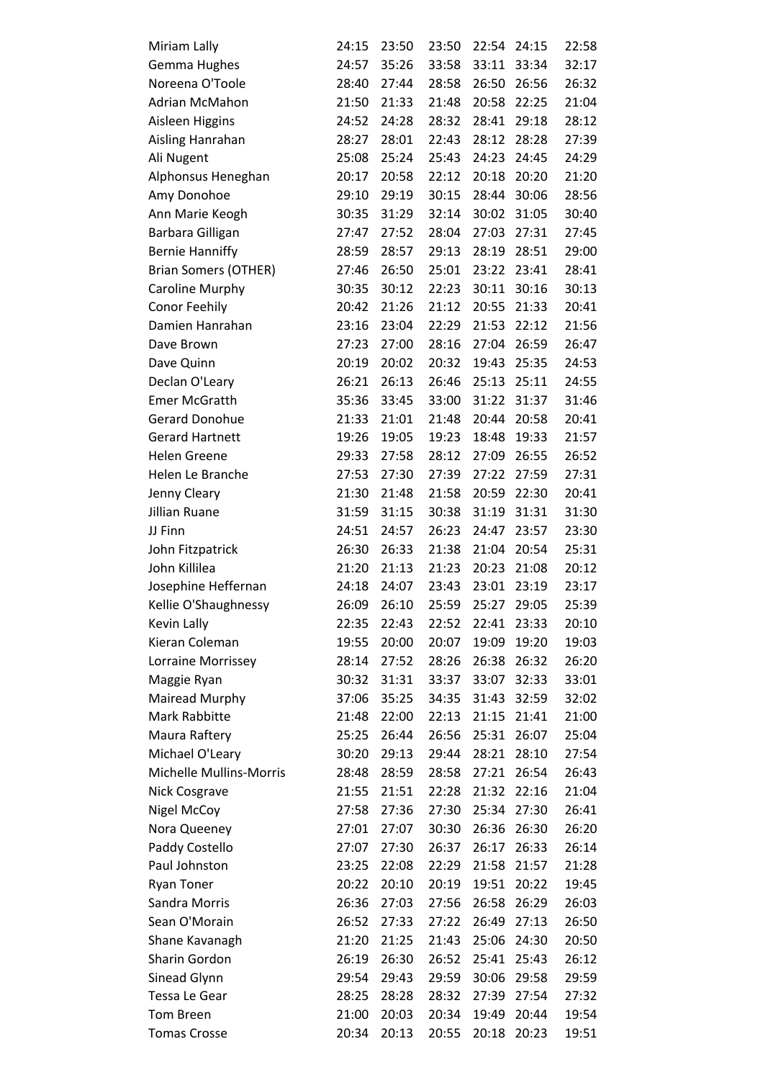| Miriam Lally                | 24:15 | 23:50 | 23:50 | 22:54 | 24:15 | 22:58 |
|-----------------------------|-------|-------|-------|-------|-------|-------|
| Gemma Hughes                | 24:57 | 35:26 | 33:58 | 33:11 | 33:34 | 32:17 |
| Noreena O'Toole             | 28:40 | 27:44 | 28:58 | 26:50 | 26:56 | 26:32 |
| Adrian McMahon              | 21:50 | 21:33 | 21:48 | 20:58 | 22:25 | 21:04 |
| Aisleen Higgins             | 24:52 | 24:28 | 28:32 | 28:41 | 29:18 | 28:12 |
| Aisling Hanrahan            | 28:27 | 28:01 | 22:43 | 28:12 | 28:28 | 27:39 |
| Ali Nugent                  | 25:08 | 25:24 | 25:43 | 24:23 | 24:45 | 24:29 |
| Alphonsus Heneghan          | 20:17 | 20:58 | 22:12 | 20:18 | 20:20 | 21:20 |
| Amy Donohoe                 | 29:10 | 29:19 | 30:15 | 28:44 | 30:06 | 28:56 |
| Ann Marie Keogh             | 30:35 | 31:29 | 32:14 | 30:02 | 31:05 | 30:40 |
| Barbara Gilligan            | 27:47 | 27:52 | 28:04 | 27:03 | 27:31 | 27:45 |
| <b>Bernie Hanniffy</b>      | 28:59 | 28:57 | 29:13 | 28:19 | 28:51 | 29:00 |
| <b>Brian Somers (OTHER)</b> | 27:46 | 26:50 | 25:01 | 23:22 | 23:41 | 28:41 |
| Caroline Murphy             | 30:35 | 30:12 | 22:23 | 30:11 | 30:16 | 30:13 |
| Conor Feehily               | 20:42 | 21:26 | 21:12 | 20:55 | 21:33 | 20:41 |
| Damien Hanrahan             | 23:16 | 23:04 | 22:29 | 21:53 | 22:12 | 21:56 |
| Dave Brown                  | 27:23 | 27:00 | 28:16 | 27:04 | 26:59 | 26:47 |
| Dave Quinn                  | 20:19 | 20:02 | 20:32 | 19:43 | 25:35 | 24:53 |
| Declan O'Leary              | 26:21 | 26:13 | 26:46 | 25:13 | 25:11 | 24:55 |
| <b>Emer McGratth</b>        | 35:36 | 33:45 | 33:00 | 31:22 | 31:37 | 31:46 |
| <b>Gerard Donohue</b>       | 21:33 | 21:01 | 21:48 | 20:44 | 20:58 | 20:41 |
| <b>Gerard Hartnett</b>      | 19:26 | 19:05 | 19:23 | 18:48 | 19:33 | 21:57 |
| <b>Helen Greene</b>         | 29:33 | 27:58 | 28:12 | 27:09 | 26:55 | 26:52 |
| Helen Le Branche            | 27:53 | 27:30 | 27:39 | 27:22 | 27:59 | 27:31 |
| Jenny Cleary                | 21:30 | 21:48 | 21:58 | 20:59 | 22:30 | 20:41 |
| Jillian Ruane               | 31:59 | 31:15 | 30:38 | 31:19 | 31:31 | 31:30 |
| JJ Finn                     | 24:51 | 24:57 | 26:23 | 24:47 | 23:57 | 23:30 |
| John Fitzpatrick            | 26:30 | 26:33 | 21:38 | 21:04 | 20:54 | 25:31 |
| John Killilea               | 21:20 | 21:13 | 21:23 | 20:23 | 21:08 | 20:12 |
| Josephine Heffernan         | 24:18 | 24:07 | 23:43 | 23:01 | 23:19 | 23:17 |
| Kellie O'Shaughnessy        | 26:09 | 26:10 | 25:59 | 25:27 | 29:05 | 25:39 |
| Kevin Lally                 | 22:35 | 22:43 | 22:52 | 22:41 | 23:33 | 20:10 |
| Kieran Coleman              | 19:55 | 20:00 | 20:07 | 19:09 | 19:20 | 19:03 |
| Lorraine Morrissey          | 28:14 | 27:52 | 28:26 | 26:38 | 26:32 | 26:20 |
| Maggie Ryan                 | 30:32 | 31:31 | 33:37 | 33:07 | 32:33 | 33:01 |
| Mairead Murphy              | 37:06 | 35:25 | 34:35 | 31:43 | 32:59 | 32:02 |
| Mark Rabbitte               | 21:48 | 22:00 | 22:13 | 21:15 | 21:41 | 21:00 |
| Maura Raftery               | 25:25 | 26:44 | 26:56 | 25:31 | 26:07 | 25:04 |
| Michael O'Leary             | 30:20 | 29:13 | 29:44 | 28:21 | 28:10 | 27:54 |
| Michelle Mullins-Morris     | 28:48 | 28:59 | 28:58 | 27:21 | 26:54 | 26:43 |
| <b>Nick Cosgrave</b>        | 21:55 | 21:51 | 22:28 | 21:32 | 22:16 | 21:04 |
| <b>Nigel McCoy</b>          | 27:58 | 27:36 | 27:30 | 25:34 | 27:30 | 26:41 |
| Nora Queeney                | 27:01 | 27:07 | 30:30 | 26:36 | 26:30 | 26:20 |
| Paddy Costello              | 27:07 | 27:30 | 26:37 | 26:17 | 26:33 | 26:14 |
| Paul Johnston               | 23:25 | 22:08 | 22:29 | 21:58 | 21:57 | 21:28 |
| <b>Ryan Toner</b>           | 20:22 | 20:10 | 20:19 | 19:51 | 20:22 | 19:45 |
| Sandra Morris               | 26:36 | 27:03 | 27:56 | 26:58 | 26:29 | 26:03 |
| Sean O'Morain               | 26:52 | 27:33 | 27:22 | 26:49 | 27:13 | 26:50 |
| Shane Kavanagh              | 21:20 | 21:25 | 21:43 | 25:06 | 24:30 | 20:50 |
| Sharin Gordon               | 26:19 | 26:30 | 26:52 | 25:41 | 25:43 | 26:12 |
| Sinead Glynn                | 29:54 | 29:43 | 29:59 | 30:06 | 29:58 | 29:59 |
| Tessa Le Gear               | 28:25 | 28:28 | 28:32 | 27:39 | 27:54 | 27:32 |
| <b>Tom Breen</b>            | 21:00 | 20:03 | 20:34 | 19:49 | 20:44 | 19:54 |
| <b>Tomas Crosse</b>         | 20:34 | 20:13 | 20:55 | 20:18 | 20:23 | 19:51 |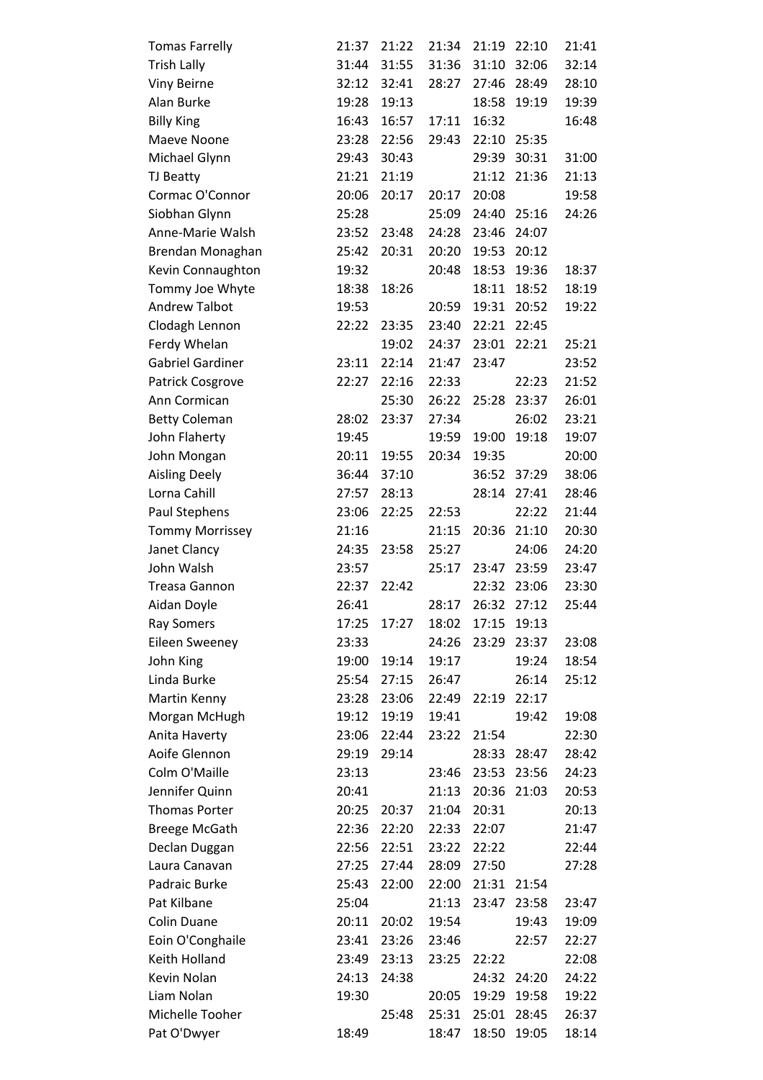| <b>Tomas Farrelly</b>   | 21:37 | 21:22 | 21:34 | 21:19 | 22:10 | 21:41 |
|-------------------------|-------|-------|-------|-------|-------|-------|
| <b>Trish Lally</b>      | 31:44 | 31:55 | 31:36 | 31:10 | 32:06 | 32:14 |
| <b>Viny Beirne</b>      | 32:12 | 32:41 | 28:27 | 27:46 | 28:49 | 28:10 |
| Alan Burke              | 19:28 | 19:13 |       | 18:58 | 19:19 | 19:39 |
| <b>Billy King</b>       | 16:43 | 16:57 | 17:11 | 16:32 |       | 16:48 |
| Maeve Noone             | 23:28 | 22:56 | 29:43 | 22:10 | 25:35 |       |
| Michael Glynn           | 29:43 | 30:43 |       | 29:39 | 30:31 | 31:00 |
| TJ Beatty               | 21:21 | 21:19 |       | 21:12 | 21:36 | 21:13 |
| Cormac O'Connor         | 20:06 | 20:17 | 20:17 | 20:08 |       | 19:58 |
| Siobhan Glynn           | 25:28 |       | 25:09 | 24:40 | 25:16 | 24:26 |
| Anne-Marie Walsh        | 23:52 | 23:48 | 24:28 | 23:46 | 24:07 |       |
| Brendan Monaghan        | 25:42 | 20:31 | 20:20 | 19:53 | 20:12 |       |
| Kevin Connaughton       | 19:32 |       | 20:48 | 18:53 | 19:36 | 18:37 |
| Tommy Joe Whyte         | 18:38 | 18:26 |       | 18:11 | 18:52 | 18:19 |
| <b>Andrew Talbot</b>    | 19:53 |       | 20:59 | 19:31 | 20:52 | 19:22 |
| Clodagh Lennon          | 22:22 | 23:35 | 23:40 | 22:21 | 22:45 |       |
| Ferdy Whelan            |       | 19:02 | 24:37 | 23:01 | 22:21 | 25:21 |
| <b>Gabriel Gardiner</b> | 23:11 | 22:14 | 21:47 | 23:47 |       | 23:52 |
| Patrick Cosgrove        | 22:27 | 22:16 | 22:33 |       | 22:23 | 21:52 |
| Ann Cormican            |       | 25:30 | 26:22 | 25:28 | 23:37 | 26:01 |
| <b>Betty Coleman</b>    | 28:02 | 23:37 | 27:34 |       | 26:02 | 23:21 |
| John Flaherty           | 19:45 |       | 19:59 | 19:00 | 19:18 | 19:07 |
| John Mongan             | 20:11 | 19:55 | 20:34 | 19:35 |       | 20:00 |
| <b>Aisling Deely</b>    | 36:44 | 37:10 |       | 36:52 | 37:29 | 38:06 |
| Lorna Cahill            | 27:57 | 28:13 |       | 28:14 | 27:41 | 28:46 |
| Paul Stephens           | 23:06 | 22:25 | 22:53 |       | 22:22 | 21:44 |
| <b>Tommy Morrissey</b>  | 21:16 |       | 21:15 | 20:36 | 21:10 | 20:30 |
| Janet Clancy            | 24:35 | 23:58 | 25:27 |       | 24:06 | 24:20 |
| John Walsh              | 23:57 |       | 25:17 | 23:47 | 23:59 | 23:47 |
| <b>Treasa Gannon</b>    | 22:37 | 22:42 |       | 22:32 | 23:06 | 23:30 |
| Aidan Doyle             | 26:41 |       | 28:17 | 26:32 | 27:12 | 25:44 |
| <b>Ray Somers</b>       | 17:25 | 17:27 | 18:02 | 17:15 | 19:13 |       |
| <b>Eileen Sweeney</b>   | 23:33 |       | 24:26 | 23:29 | 23:37 | 23:08 |
| John King               | 19:00 | 19:14 | 19:17 |       | 19:24 | 18:54 |
| Linda Burke             | 25:54 | 27:15 | 26:47 |       | 26:14 | 25:12 |
| Martin Kenny            | 23:28 | 23:06 | 22:49 | 22:19 | 22:17 |       |
| Morgan McHugh           | 19:12 | 19:19 | 19:41 |       | 19:42 | 19:08 |
| Anita Haverty           | 23:06 | 22:44 | 23:22 | 21:54 |       | 22:30 |
| Aoife Glennon           | 29:19 | 29:14 |       | 28:33 | 28:47 | 28:42 |
| Colm O'Maille           | 23:13 |       | 23:46 | 23:53 | 23:56 | 24:23 |
| Jennifer Quinn          | 20:41 |       | 21:13 | 20:36 | 21:03 | 20:53 |
| <b>Thomas Porter</b>    | 20:25 | 20:37 | 21:04 | 20:31 |       | 20:13 |
| <b>Breege McGath</b>    | 22:36 | 22:20 | 22:33 | 22:07 |       | 21:47 |
| Declan Duggan           | 22:56 | 22:51 | 23:22 | 22:22 |       | 22:44 |
| Laura Canavan           | 27:25 | 27:44 | 28:09 | 27:50 |       | 27:28 |
| Padraic Burke           | 25:43 | 22:00 | 22:00 | 21:31 | 21:54 |       |
| Pat Kilbane             | 25:04 |       | 21:13 | 23:47 | 23:58 | 23:47 |
| Colin Duane             | 20:11 | 20:02 | 19:54 |       | 19:43 | 19:09 |
| Eoin O'Conghaile        | 23:41 | 23:26 | 23:46 |       | 22:57 | 22:27 |
| Keith Holland           | 23:49 | 23:13 | 23:25 | 22:22 |       | 22:08 |
| Kevin Nolan             | 24:13 | 24:38 |       | 24:32 | 24:20 | 24:22 |
| Liam Nolan              | 19:30 |       | 20:05 | 19:29 | 19:58 | 19:22 |
| Michelle Tooher         |       | 25:48 | 25:31 | 25:01 | 28:45 | 26:37 |
| Pat O'Dwyer             | 18:49 |       | 18:47 | 18:50 | 19:05 | 18:14 |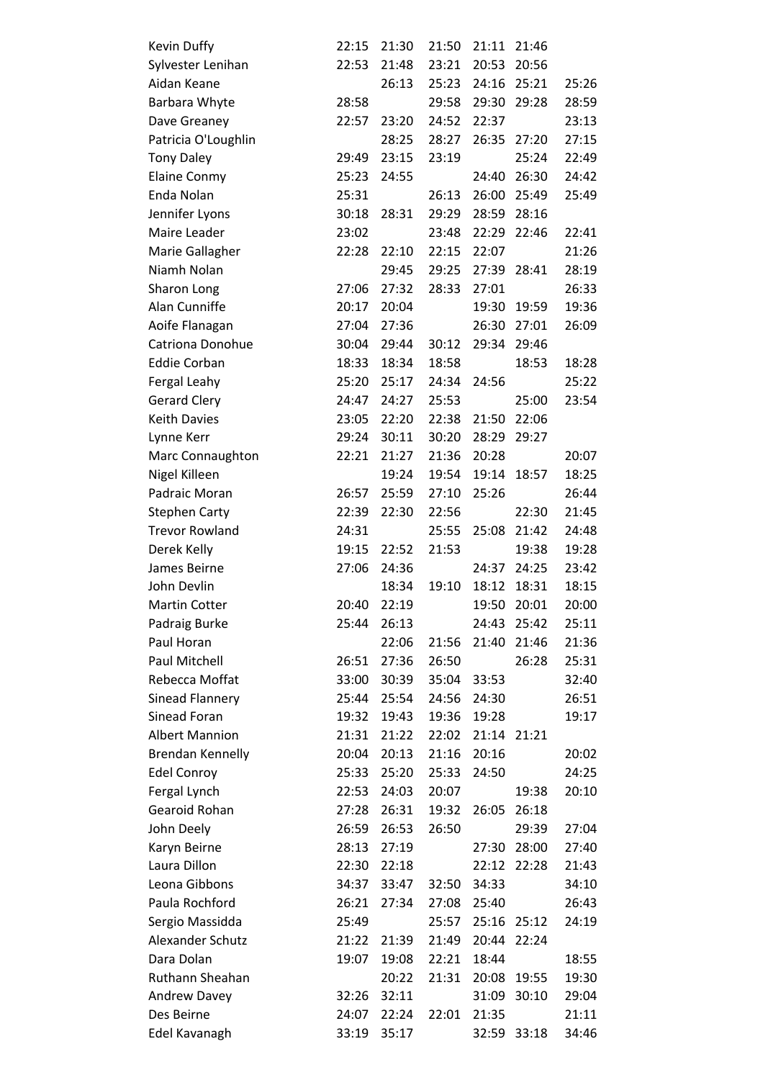| Kevin Duffy             | 22:15 | 21:30 | 21:50 | 21:11 | 21:46       |       |
|-------------------------|-------|-------|-------|-------|-------------|-------|
| Sylvester Lenihan       | 22:53 | 21:48 | 23:21 | 20:53 | 20:56       |       |
| Aidan Keane             |       | 26:13 | 25:23 | 24:16 | 25:21       | 25:26 |
| Barbara Whyte           | 28:58 |       | 29:58 | 29:30 | 29:28       | 28:59 |
| Dave Greaney            | 22:57 | 23:20 | 24:52 | 22:37 |             | 23:13 |
| Patricia O'Loughlin     |       | 28:25 | 28:27 | 26:35 | 27:20       | 27:15 |
| <b>Tony Daley</b>       | 29:49 | 23:15 | 23:19 |       | 25:24       | 22:49 |
| <b>Elaine Conmy</b>     | 25:23 | 24:55 |       | 24:40 | 26:30       | 24:42 |
| Enda Nolan              | 25:31 |       | 26:13 | 26:00 | 25:49       | 25:49 |
| Jennifer Lyons          | 30:18 | 28:31 | 29:29 | 28:59 | 28:16       |       |
| Maire Leader            | 23:02 |       | 23:48 | 22:29 | 22:46       | 22:41 |
| Marie Gallagher         | 22:28 | 22:10 | 22:15 | 22:07 |             | 21:26 |
| Niamh Nolan             |       | 29:45 | 29:25 | 27:39 | 28:41       | 28:19 |
| Sharon Long             | 27:06 | 27:32 | 28:33 | 27:01 |             | 26:33 |
| Alan Cunniffe           | 20:17 | 20:04 |       | 19:30 | 19:59       | 19:36 |
| Aoife Flanagan          | 27:04 | 27:36 |       | 26:30 | 27:01       | 26:09 |
| Catriona Donohue        | 30:04 | 29:44 | 30:12 | 29:34 | 29:46       |       |
| <b>Eddie Corban</b>     | 18:33 | 18:34 | 18:58 |       | 18:53       | 18:28 |
| Fergal Leahy            | 25:20 | 25:17 | 24:34 | 24:56 |             | 25:22 |
| <b>Gerard Clery</b>     | 24:47 | 24:27 | 25:53 |       | 25:00       | 23:54 |
| <b>Keith Davies</b>     | 23:05 | 22:20 | 22:38 | 21:50 | 22:06       |       |
| Lynne Kerr              | 29:24 | 30:11 | 30:20 | 28:29 | 29:27       |       |
| Marc Connaughton        | 22:21 | 21:27 | 21:36 | 20:28 |             | 20:07 |
| Nigel Killeen           |       | 19:24 | 19:54 | 19:14 | 18:57       | 18:25 |
| Padraic Moran           | 26:57 | 25:59 | 27:10 | 25:26 |             | 26:44 |
| <b>Stephen Carty</b>    | 22:39 | 22:30 | 22:56 |       | 22:30       | 21:45 |
| <b>Trevor Rowland</b>   | 24:31 |       | 25:55 | 25:08 | 21:42       | 24:48 |
| Derek Kelly             | 19:15 | 22:52 | 21:53 |       | 19:38       | 19:28 |
| James Beirne            | 27:06 | 24:36 |       | 24:37 | 24:25       | 23:42 |
| John Devlin             |       | 18:34 | 19:10 | 18:12 | 18:31       | 18:15 |
| <b>Martin Cotter</b>    | 20:40 | 22:19 |       | 19:50 | 20:01       | 20:00 |
| Padraig Burke           | 25:44 | 26:13 |       | 24:43 | 25:42       | 25:11 |
| Paul Horan              |       | 22:06 | 21:56 | 21:40 | 21:46       | 21:36 |
| Paul Mitchell           | 26:51 | 27:36 | 26:50 |       | 26:28       | 25:31 |
| Rebecca Moffat          | 33:00 | 30:39 | 35:04 | 33:53 |             | 32:40 |
| Sinead Flannery         | 25:44 | 25:54 | 24:56 | 24:30 |             | 26:51 |
| Sinead Foran            | 19:32 | 19:43 | 19:36 | 19:28 |             | 19:17 |
| <b>Albert Mannion</b>   | 21:31 | 21:22 | 22:02 |       | 21:14 21:21 |       |
| <b>Brendan Kennelly</b> | 20:04 | 20:13 | 21:16 | 20:16 |             | 20:02 |
| <b>Edel Conroy</b>      | 25:33 | 25:20 | 25:33 | 24:50 |             | 24:25 |
| Fergal Lynch            | 22:53 | 24:03 | 20:07 |       | 19:38       | 20:10 |
| Gearoid Rohan           | 27:28 | 26:31 | 19:32 | 26:05 | 26:18       |       |
| John Deely              | 26:59 | 26:53 | 26:50 |       | 29:39       | 27:04 |
| Karyn Beirne            | 28:13 | 27:19 |       | 27:30 | 28:00       | 27:40 |
| Laura Dillon            | 22:30 | 22:18 |       | 22:12 | 22:28       | 21:43 |
| Leona Gibbons           | 34:37 | 33:47 | 32:50 | 34:33 |             | 34:10 |
| Paula Rochford          | 26:21 | 27:34 | 27:08 | 25:40 |             | 26:43 |
| Sergio Massidda         | 25:49 |       | 25:57 | 25:16 | 25:12       | 24:19 |
| Alexander Schutz        | 21:22 | 21:39 | 21:49 | 20:44 | 22:24       |       |
| Dara Dolan              | 19:07 | 19:08 | 22:21 | 18:44 |             | 18:55 |
| Ruthann Sheahan         |       | 20:22 | 21:31 | 20:08 | 19:55       | 19:30 |
| Andrew Davey            | 32:26 | 32:11 |       | 31:09 | 30:10       | 29:04 |
| Des Beirne              | 24:07 | 22:24 | 22:01 | 21:35 |             | 21:11 |
| Edel Kavanagh           | 33:19 | 35:17 |       |       | 32:59 33:18 | 34:46 |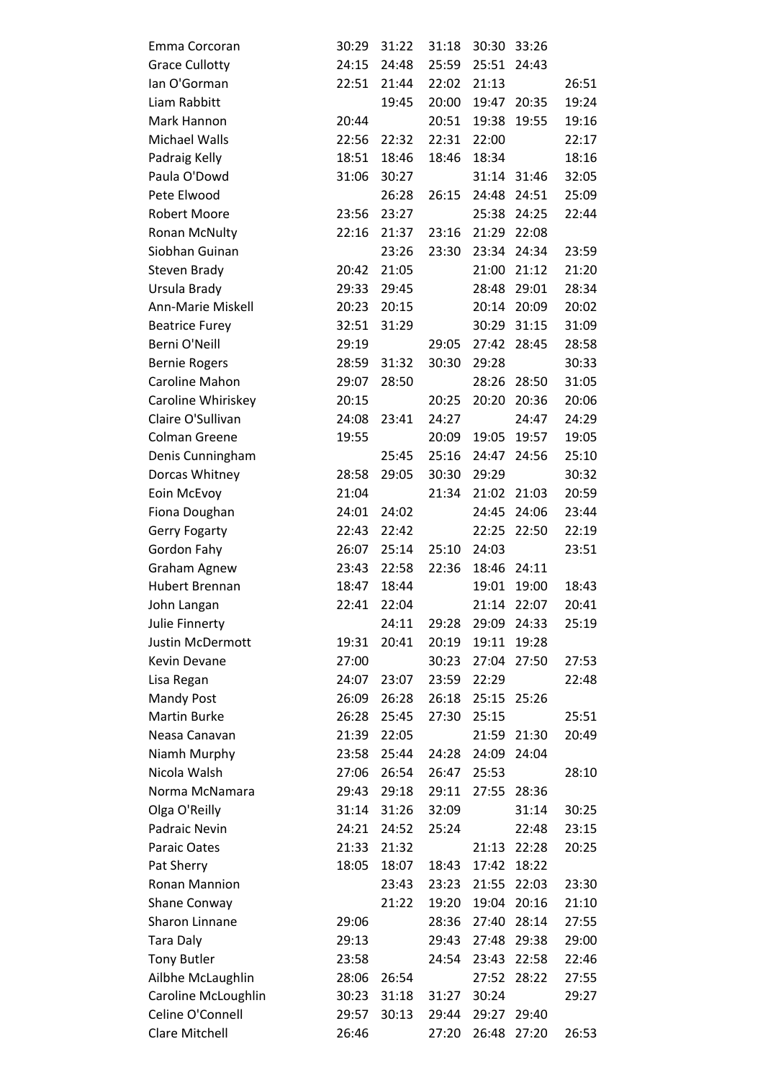| Emma Corcoran         | 30:29 | 31:22 | 31:18 | 30:30 | 33:26       |       |
|-----------------------|-------|-------|-------|-------|-------------|-------|
| <b>Grace Cullotty</b> | 24:15 | 24:48 | 25:59 |       | 25:51 24:43 |       |
| lan O'Gorman          | 22:51 | 21:44 | 22:02 | 21:13 |             | 26:51 |
| Liam Rabbitt          |       | 19:45 | 20:00 | 19:47 | 20:35       | 19:24 |
| Mark Hannon           | 20:44 |       | 20:51 | 19:38 | 19:55       | 19:16 |
| Michael Walls         | 22:56 | 22:32 | 22:31 | 22:00 |             | 22:17 |
| Padraig Kelly         | 18:51 | 18:46 | 18:46 | 18:34 |             | 18:16 |
| Paula O'Dowd          | 31:06 | 30:27 |       |       | 31:14 31:46 | 32:05 |
| Pete Elwood           |       | 26:28 | 26:15 | 24:48 | 24:51       | 25:09 |
| Robert Moore          | 23:56 | 23:27 |       | 25:38 | 24:25       | 22:44 |
| Ronan McNulty         | 22:16 | 21:37 | 23:16 | 21:29 | 22:08       |       |
| Siobhan Guinan        |       | 23:26 | 23:30 |       | 23:34 24:34 | 23:59 |
| Steven Brady          | 20:42 | 21:05 |       | 21:00 | 21:12       | 21:20 |
| Ursula Brady          | 29:33 | 29:45 |       | 28:48 | 29:01       | 28:34 |
| Ann-Marie Miskell     | 20:23 | 20:15 |       | 20:14 | 20:09       | 20:02 |
| <b>Beatrice Furey</b> | 32:51 | 31:29 |       | 30:29 | 31:15       | 31:09 |
| Berni O'Neill         | 29:19 |       | 29:05 |       | 27:42 28:45 | 28:58 |
| <b>Bernie Rogers</b>  | 28:59 | 31:32 | 30:30 | 29:28 |             | 30:33 |
| Caroline Mahon        | 29:07 | 28:50 |       | 28:26 | 28:50       | 31:05 |
| Caroline Whiriskey    | 20:15 |       | 20:25 | 20:20 | 20:36       | 20:06 |
| Claire O'Sullivan     | 24:08 | 23:41 | 24:27 |       | 24:47       | 24:29 |
| <b>Colman Greene</b>  | 19:55 |       | 20:09 | 19:05 | 19:57       | 19:05 |
| Denis Cunningham      |       | 25:45 | 25:16 | 24:47 | 24:56       | 25:10 |
| Dorcas Whitney        | 28:58 | 29:05 | 30:30 | 29:29 |             | 30:32 |
| Eoin McEvoy           | 21:04 |       | 21:34 | 21:02 | 21:03       | 20:59 |
| Fiona Doughan         | 24:01 | 24:02 |       | 24:45 | 24:06       | 23:44 |
| <b>Gerry Fogarty</b>  | 22:43 | 22:42 |       | 22:25 | 22:50       | 22:19 |
| Gordon Fahy           | 26:07 | 25:14 | 25:10 | 24:03 |             | 23:51 |
| <b>Graham Agnew</b>   | 23:43 | 22:58 | 22:36 |       | 18:46 24:11 |       |
| <b>Hubert Brennan</b> | 18:47 | 18:44 |       | 19:01 | 19:00       | 18:43 |
| John Langan           | 22:41 | 22:04 |       | 21:14 | 22:07       | 20:41 |
| Julie Finnerty        |       | 24:11 | 29:28 | 29:09 | 24:33       | 25:19 |
| Justin McDermott      | 19:31 | 20:41 | 20:19 | 19:11 | 19:28       |       |
| Kevin Devane          | 27:00 |       | 30:23 | 27:04 | 27:50       | 27:53 |
| Lisa Regan            | 24:07 | 23:07 | 23:59 | 22:29 |             | 22:48 |
| <b>Mandy Post</b>     | 26:09 | 26:28 | 26:18 | 25:15 | 25:26       |       |
| <b>Martin Burke</b>   | 26:28 | 25:45 | 27:30 | 25:15 |             | 25:51 |
| Neasa Canavan         | 21:39 | 22:05 |       |       | 21:59 21:30 | 20:49 |
| Niamh Murphy          | 23:58 | 25:44 | 24:28 | 24:09 | 24:04       |       |
| Nicola Walsh          | 27:06 | 26:54 | 26:47 | 25:53 |             | 28:10 |
| Norma McNamara        | 29:43 | 29:18 | 29:11 | 27:55 | 28:36       |       |
| Olga O'Reilly         | 31:14 | 31:26 | 32:09 |       | 31:14       | 30:25 |
| Padraic Nevin         | 24:21 | 24:52 | 25:24 |       | 22:48       | 23:15 |
| Paraic Oates          | 21:33 | 21:32 |       | 21:13 | 22:28       | 20:25 |
| Pat Sherry            | 18:05 | 18:07 | 18:43 | 17:42 | 18:22       |       |
| Ronan Mannion         |       | 23:43 | 23:23 | 21:55 | 22:03       | 23:30 |
| <b>Shane Conway</b>   |       | 21:22 | 19:20 | 19:04 | 20:16       | 21:10 |
| Sharon Linnane        | 29:06 |       | 28:36 | 27:40 | 28:14       | 27:55 |
| <b>Tara Daly</b>      | 29:13 |       | 29:43 | 27:48 | 29:38       | 29:00 |
| <b>Tony Butler</b>    | 23:58 |       | 24:54 | 23:43 | 22:58       | 22:46 |
| Ailbhe McLaughlin     | 28:06 | 26:54 |       | 27:52 | 28:22       | 27:55 |
| Caroline McLoughlin   | 30:23 | 31:18 | 31:27 | 30:24 |             | 29:27 |
| Celine O'Connell      | 29:57 | 30:13 | 29:44 | 29:27 | 29:40       |       |
| Clare Mitchell        | 26:46 |       | 27:20 | 26:48 | 27:20       | 26:53 |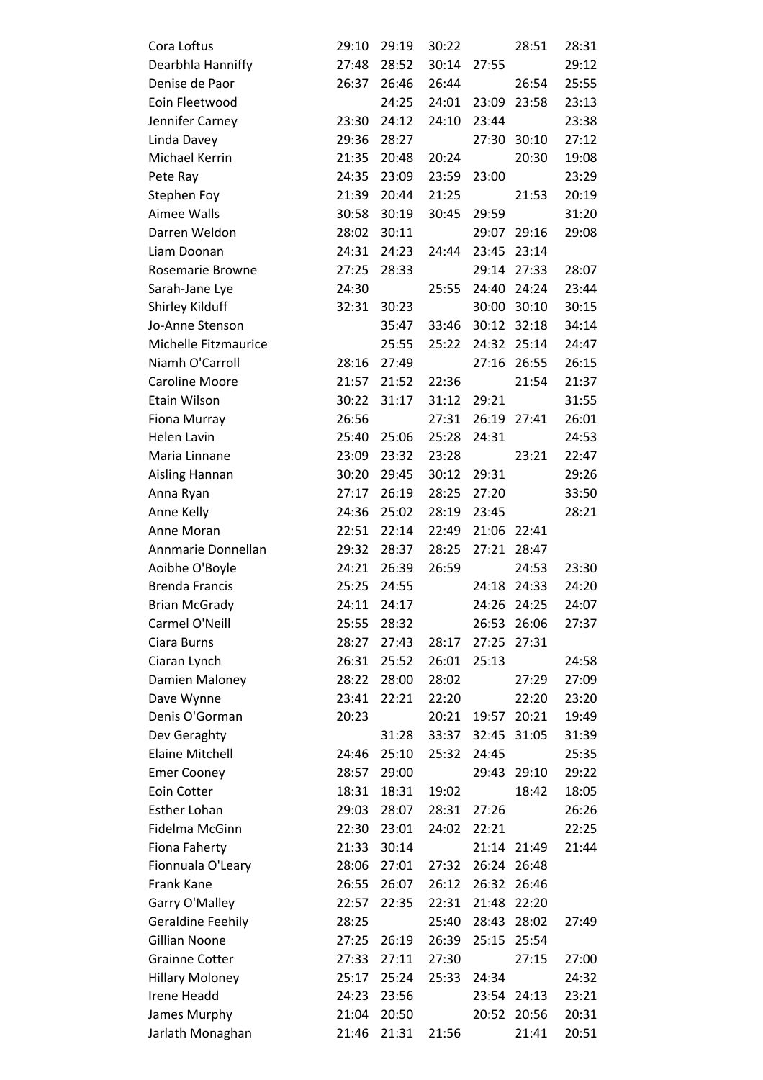| Cora Loftus              | 29:10 | 29:19 | 30:22 |       | 28:51       | 28:31 |
|--------------------------|-------|-------|-------|-------|-------------|-------|
| Dearbhla Hanniffy        | 27:48 | 28:52 | 30:14 | 27:55 |             | 29:12 |
| Denise de Paor           | 26:37 | 26:46 | 26:44 |       | 26:54       | 25:55 |
| Eoin Fleetwood           |       | 24:25 | 24:01 | 23:09 | 23:58       | 23:13 |
| Jennifer Carney          | 23:30 | 24:12 | 24:10 | 23:44 |             | 23:38 |
| Linda Davey              | 29:36 | 28:27 |       | 27:30 | 30:10       | 27:12 |
| Michael Kerrin           | 21:35 | 20:48 | 20:24 |       | 20:30       | 19:08 |
| Pete Ray                 | 24:35 | 23:09 | 23:59 | 23:00 |             | 23:29 |
| Stephen Foy              | 21:39 | 20:44 | 21:25 |       | 21:53       | 20:19 |
| Aimee Walls              | 30:58 | 30:19 | 30:45 | 29:59 |             | 31:20 |
| Darren Weldon            | 28:02 | 30:11 |       |       | 29:07 29:16 | 29:08 |
| Liam Doonan              | 24:31 | 24:23 | 24:44 | 23:45 | 23:14       |       |
| Rosemarie Browne         | 27:25 | 28:33 |       | 29:14 | 27:33       | 28:07 |
| Sarah-Jane Lye           | 24:30 |       | 25:55 | 24:40 | 24:24       | 23:44 |
| Shirley Kilduff          | 32:31 | 30:23 |       | 30:00 | 30:10       | 30:15 |
| Jo-Anne Stenson          |       | 35:47 | 33:46 |       | 30:12 32:18 | 34:14 |
| Michelle Fitzmaurice     |       | 25:55 | 25:22 | 24:32 | 25:14       | 24:47 |
| Niamh O'Carroll          | 28:16 | 27:49 |       | 27:16 | 26:55       | 26:15 |
| <b>Caroline Moore</b>    | 21:57 | 21:52 | 22:36 |       | 21:54       | 21:37 |
| Etain Wilson             | 30:22 | 31:17 | 31:12 | 29:21 |             | 31:55 |
| Fiona Murray             | 26:56 |       | 27:31 |       | 26:19 27:41 | 26:01 |
| <b>Helen Lavin</b>       | 25:40 | 25:06 | 25:28 | 24:31 |             | 24:53 |
| Maria Linnane            | 23:09 | 23:32 | 23:28 |       | 23:21       | 22:47 |
| Aisling Hannan           | 30:20 | 29:45 | 30:12 | 29:31 |             | 29:26 |
| Anna Ryan                | 27:17 | 26:19 | 28:25 | 27:20 |             | 33:50 |
| Anne Kelly               | 24:36 | 25:02 | 28:19 | 23:45 |             | 28:21 |
| Anne Moran               | 22:51 | 22:14 | 22:49 | 21:06 | 22:41       |       |
| Annmarie Donnellan       | 29:32 | 28:37 | 28:25 | 27:21 | 28:47       |       |
| Aoibhe O'Boyle           | 24:21 | 26:39 | 26:59 |       | 24:53       | 23:30 |
| <b>Brenda Francis</b>    | 25:25 | 24:55 |       | 24:18 | 24:33       | 24:20 |
| <b>Brian McGrady</b>     | 24:11 | 24:17 |       | 24:26 | 24:25       | 24:07 |
| Carmel O'Neill           | 25:55 | 28:32 |       | 26:53 | 26:06       | 27:37 |
| Ciara Burns              | 28:27 | 27:43 | 28:17 | 27:25 | 27:31       |       |
| Ciaran Lynch             | 26:31 | 25:52 | 26:01 | 25:13 |             | 24:58 |
| Damien Maloney           | 28:22 | 28:00 | 28:02 |       | 27:29       | 27:09 |
| Dave Wynne               | 23:41 | 22:21 | 22:20 |       | 22:20       | 23:20 |
| Denis O'Gorman           | 20:23 |       | 20:21 | 19:57 | 20:21       | 19:49 |
| Dev Geraghty             |       | 31:28 | 33:37 | 32:45 | 31:05       | 31:39 |
| <b>Elaine Mitchell</b>   | 24:46 | 25:10 | 25:32 | 24:45 |             | 25:35 |
| <b>Emer Cooney</b>       | 28:57 | 29:00 |       | 29:43 | 29:10       | 29:22 |
| Eoin Cotter              | 18:31 | 18:31 | 19:02 |       | 18:42       | 18:05 |
| <b>Esther Lohan</b>      | 29:03 | 28:07 | 28:31 | 27:26 |             | 26:26 |
| Fidelma McGinn           | 22:30 | 23:01 | 24:02 | 22:21 |             | 22:25 |
| Fiona Faherty            | 21:33 | 30:14 |       | 21:14 | 21:49       | 21:44 |
| Fionnuala O'Leary        | 28:06 | 27:01 | 27:32 | 26:24 | 26:48       |       |
| <b>Frank Kane</b>        | 26:55 | 26:07 | 26:12 | 26:32 | 26:46       |       |
| Garry O'Malley           | 22:57 | 22:35 | 22:31 | 21:48 | 22:20       |       |
| <b>Geraldine Feehily</b> | 28:25 |       | 25:40 | 28:43 | 28:02       | 27:49 |
| <b>Gillian Noone</b>     | 27:25 | 26:19 | 26:39 | 25:15 | 25:54       |       |
| <b>Grainne Cotter</b>    | 27:33 | 27:11 | 27:30 |       | 27:15       | 27:00 |
| <b>Hillary Moloney</b>   | 25:17 | 25:24 | 25:33 | 24:34 |             | 24:32 |
| Irene Headd              | 24:23 | 23:56 |       |       | 23:54 24:13 | 23:21 |
| James Murphy             | 21:04 | 20:50 |       | 20:52 | 20:56       | 20:31 |
| Jarlath Monaghan         | 21:46 | 21:31 | 21:56 |       | 21:41       | 20:51 |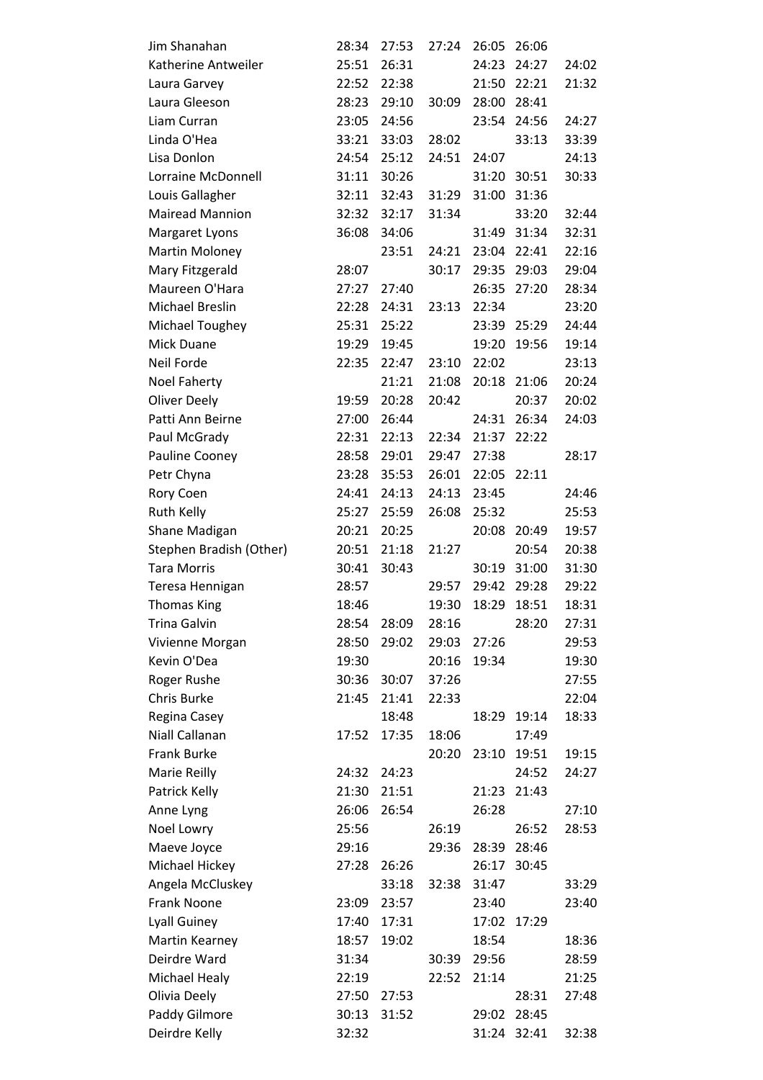| Jim Shanahan            | 28:34 | 27:53 | 27:24 | 26:05 | 26:06       |       |
|-------------------------|-------|-------|-------|-------|-------------|-------|
| Katherine Antweiler     | 25:51 | 26:31 |       | 24:23 | 24:27       | 24:02 |
| Laura Garvey            | 22:52 | 22:38 |       | 21:50 | 22:21       | 21:32 |
| Laura Gleeson           | 28:23 | 29:10 | 30:09 | 28:00 | 28:41       |       |
| Liam Curran             | 23:05 | 24:56 |       |       | 23:54 24:56 | 24:27 |
| Linda O'Hea             | 33:21 | 33:03 | 28:02 |       | 33:13       | 33:39 |
| Lisa Donlon             | 24:54 | 25:12 | 24:51 | 24:07 |             | 24:13 |
| Lorraine McDonnell      | 31:11 | 30:26 |       | 31:20 | 30:51       | 30:33 |
| Louis Gallagher         | 32:11 | 32:43 | 31:29 | 31:00 | 31:36       |       |
| <b>Mairead Mannion</b>  | 32:32 | 32:17 | 31:34 |       | 33:20       | 32:44 |
| Margaret Lyons          | 36:08 | 34:06 |       | 31:49 | 31:34       | 32:31 |
| Martin Moloney          |       | 23:51 | 24:21 | 23:04 | 22:41       | 22:16 |
| Mary Fitzgerald         | 28:07 |       | 30:17 | 29:35 | 29:03       | 29:04 |
| Maureen O'Hara          | 27:27 | 27:40 |       | 26:35 | 27:20       | 28:34 |
| Michael Breslin         | 22:28 | 24:31 | 23:13 | 22:34 |             | 23:20 |
| Michael Toughey         | 25:31 | 25:22 |       |       | 23:39 25:29 | 24:44 |
| Mick Duane              | 19:29 | 19:45 |       | 19:20 | 19:56       | 19:14 |
| Neil Forde              | 22:35 | 22:47 | 23:10 | 22:02 |             | 23:13 |
| <b>Noel Faherty</b>     |       | 21:21 | 21:08 | 20:18 | 21:06       | 20:24 |
| <b>Oliver Deely</b>     | 19:59 | 20:28 | 20:42 |       | 20:37       | 20:02 |
| Patti Ann Beirne        | 27:00 | 26:44 |       | 24:31 | 26:34       | 24:03 |
| Paul McGrady            | 22:31 | 22:13 | 22:34 | 21:37 | 22:22       |       |
| Pauline Cooney          | 28:58 | 29:01 | 29:47 | 27:38 |             | 28:17 |
| Petr Chyna              | 23:28 | 35:53 | 26:01 | 22:05 | 22:11       |       |
| Rory Coen               | 24:41 | 24:13 | 24:13 | 23:45 |             | 24:46 |
| Ruth Kelly              | 25:27 | 25:59 | 26:08 | 25:32 |             | 25:53 |
| Shane Madigan           | 20:21 | 20:25 |       | 20:08 | 20:49       | 19:57 |
| Stephen Bradish (Other) | 20:51 | 21:18 | 21:27 |       | 20:54       | 20:38 |
| <b>Tara Morris</b>      | 30:41 | 30:43 |       | 30:19 | 31:00       | 31:30 |
| Teresa Hennigan         | 28:57 |       | 29:57 | 29:42 | 29:28       | 29:22 |
| <b>Thomas King</b>      | 18:46 |       | 19:30 | 18:29 | 18:51       | 18:31 |
| <b>Trina Galvin</b>     | 28:54 | 28:09 | 28:16 |       | 28:20       | 27:31 |
| Vivienne Morgan         | 28:50 | 29:02 | 29:03 | 27:26 |             | 29:53 |
| Kevin O'Dea             | 19:30 |       | 20:16 | 19:34 |             | 19:30 |
| Roger Rushe             | 30:36 | 30:07 | 37:26 |       |             | 27:55 |
| Chris Burke             | 21:45 | 21:41 | 22:33 |       |             | 22:04 |
| Regina Casey            |       | 18:48 |       | 18:29 | 19:14       | 18:33 |
| Niall Callanan          | 17:52 | 17:35 | 18:06 |       | 17:49       |       |
| <b>Frank Burke</b>      |       |       | 20:20 | 23:10 | 19:51       | 19:15 |
| Marie Reilly            | 24:32 | 24:23 |       |       | 24:52       | 24:27 |
| Patrick Kelly           | 21:30 | 21:51 |       | 21:23 | 21:43       |       |
| Anne Lyng               | 26:06 | 26:54 |       | 26:28 |             | 27:10 |
| Noel Lowry              | 25:56 |       | 26:19 |       | 26:52       | 28:53 |
| Maeve Joyce             | 29:16 |       | 29:36 | 28:39 | 28:46       |       |
| Michael Hickey          | 27:28 | 26:26 |       | 26:17 | 30:45       |       |
| Angela McCluskey        |       | 33:18 | 32:38 | 31:47 |             | 33:29 |
| Frank Noone             | 23:09 | 23:57 |       | 23:40 |             | 23:40 |
| Lyall Guiney            | 17:40 | 17:31 |       | 17:02 | 17:29       |       |
| Martin Kearney          | 18:57 | 19:02 |       | 18:54 |             | 18:36 |
| Deirdre Ward            | 31:34 |       | 30:39 | 29:56 |             | 28:59 |
| Michael Healy           | 22:19 |       | 22:52 | 21:14 |             | 21:25 |
| Olivia Deely            | 27:50 | 27:53 |       |       | 28:31       | 27:48 |
| Paddy Gilmore           | 30:13 | 31:52 |       | 29:02 | 28:45       |       |
| Deirdre Kelly           | 32:32 |       |       |       | 31:24 32:41 | 32:38 |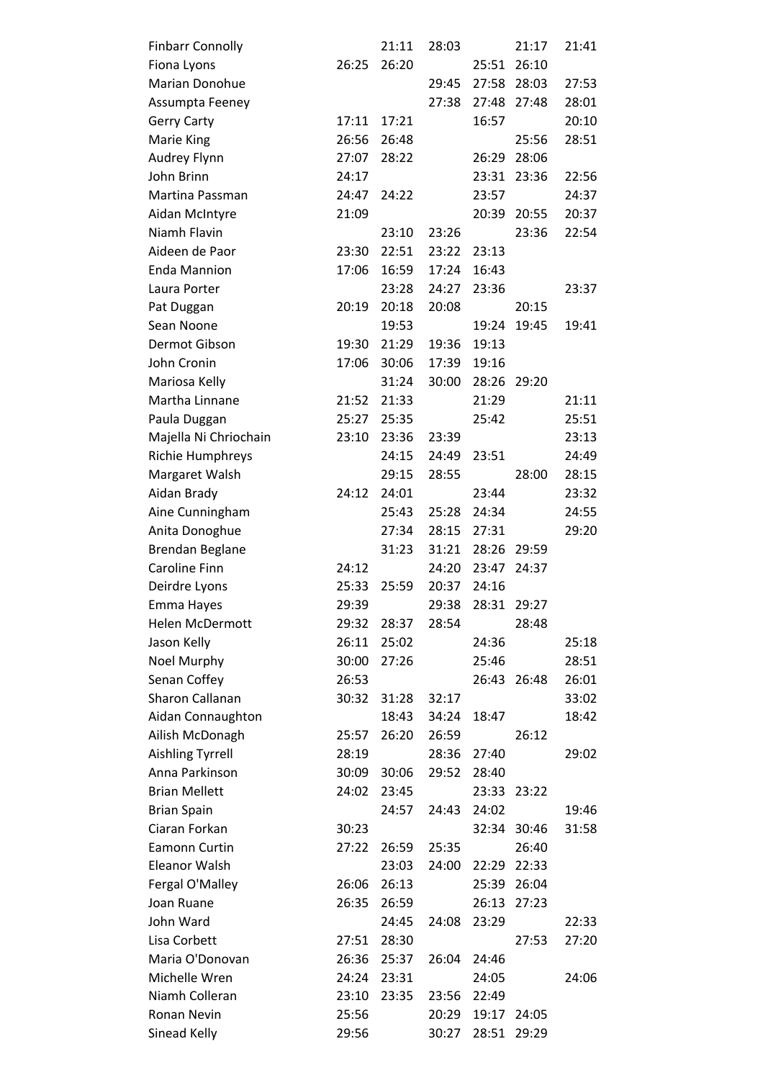| <b>Finbarr Connolly</b> |       | 21:11 | 28:03 |       | 21:17       | 21:41 |
|-------------------------|-------|-------|-------|-------|-------------|-------|
| Fiona Lyons             | 26:25 | 26:20 |       | 25:51 | 26:10       |       |
| Marian Donohue          |       |       | 29:45 | 27:58 | 28:03       | 27:53 |
| Assumpta Feeney         |       |       | 27:38 | 27:48 | 27:48       | 28:01 |
| <b>Gerry Carty</b>      | 17:11 | 17:21 |       | 16:57 |             | 20:10 |
| Marie King              | 26:56 | 26:48 |       |       | 25:56       | 28:51 |
| Audrey Flynn            | 27:07 | 28:22 |       | 26:29 | 28:06       |       |
| John Brinn              | 24:17 |       |       | 23:31 | 23:36       | 22:56 |
| Martina Passman         | 24:47 | 24:22 |       | 23:57 |             | 24:37 |
| Aidan McIntyre          | 21:09 |       |       | 20:39 | 20:55       | 20:37 |
| Niamh Flavin            |       | 23:10 | 23:26 |       | 23:36       | 22:54 |
| Aideen de Paor          | 23:30 | 22:51 | 23:22 | 23:13 |             |       |
| Enda Mannion            | 17:06 | 16:59 | 17:24 | 16:43 |             |       |
| Laura Porter            |       | 23:28 | 24:27 | 23:36 |             | 23:37 |
| Pat Duggan              | 20:19 | 20:18 | 20:08 |       | 20:15       |       |
| Sean Noone              |       | 19:53 |       | 19:24 | 19:45       | 19:41 |
| Dermot Gibson           | 19:30 | 21:29 | 19:36 | 19:13 |             |       |
| John Cronin             | 17:06 | 30:06 | 17:39 | 19:16 |             |       |
| Mariosa Kelly           |       | 31:24 | 30:00 | 28:26 | 29:20       |       |
| Martha Linnane          | 21:52 | 21:33 |       | 21:29 |             | 21:11 |
| Paula Duggan            | 25:27 | 25:35 |       | 25:42 |             | 25:51 |
| Majella Ni Chriochain   | 23:10 | 23:36 | 23:39 |       |             | 23:13 |
| Richie Humphreys        |       | 24:15 | 24:49 | 23:51 |             | 24:49 |
| Margaret Walsh          |       | 29:15 | 28:55 |       | 28:00       | 28:15 |
| Aidan Brady             | 24:12 | 24:01 |       | 23:44 |             | 23:32 |
| Aine Cunningham         |       | 25:43 | 25:28 | 24:34 |             | 24:55 |
| Anita Donoghue          |       | 27:34 | 28:15 | 27:31 |             | 29:20 |
| <b>Brendan Beglane</b>  |       | 31:23 | 31:21 | 28:26 | 29:59       |       |
| <b>Caroline Finn</b>    | 24:12 |       | 24:20 | 23:47 | 24:37       |       |
| Deirdre Lyons           | 25:33 | 25:59 | 20:37 | 24:16 |             |       |
| Emma Hayes              | 29:39 |       | 29:38 | 28:31 | 29:27       |       |
| <b>Helen McDermott</b>  | 29:32 | 28:37 | 28:54 |       | 28:48       |       |
| Jason Kelly             | 26:11 | 25:02 |       | 24:36 |             | 25:18 |
| Noel Murphy             | 30:00 | 27:26 |       | 25:46 |             | 28:51 |
| Senan Coffey            | 26:53 |       |       |       | 26:43 26:48 | 26:01 |
| Sharon Callanan         | 30:32 | 31:28 | 32:17 |       |             | 33:02 |
| Aidan Connaughton       |       | 18:43 | 34:24 | 18:47 |             | 18:42 |
| Ailish McDonagh         | 25:57 | 26:20 | 26:59 |       | 26:12       |       |
| <b>Aishling Tyrrell</b> | 28:19 |       | 28:36 | 27:40 |             | 29:02 |
| Anna Parkinson          | 30:09 | 30:06 | 29:52 | 28:40 |             |       |
| <b>Brian Mellett</b>    | 24:02 | 23:45 |       |       | 23:33 23:22 |       |
| <b>Brian Spain</b>      |       | 24:57 | 24:43 | 24:02 |             | 19:46 |
| Ciaran Forkan           | 30:23 |       |       |       | 32:34 30:46 | 31:58 |
| Eamonn Curtin           | 27:22 | 26:59 | 25:35 |       | 26:40       |       |
| Eleanor Walsh           |       | 23:03 | 24:00 | 22:29 | 22:33       |       |
| Fergal O'Malley         | 26:06 | 26:13 |       | 25:39 | 26:04       |       |
| Joan Ruane              | 26:35 | 26:59 |       | 26:13 | 27:23       |       |
| John Ward               |       | 24:45 | 24:08 | 23:29 |             | 22:33 |
| Lisa Corbett            | 27:51 | 28:30 |       |       | 27:53       | 27:20 |
| Maria O'Donovan         | 26:36 | 25:37 | 26:04 | 24:46 |             |       |
| Michelle Wren           | 24:24 | 23:31 |       | 24:05 |             | 24:06 |
| Niamh Colleran          | 23:10 | 23:35 | 23:56 | 22:49 |             |       |
| Ronan Nevin             | 25:56 |       | 20:29 | 19:17 | 24:05       |       |
| Sinead Kelly            | 29:56 |       | 30:27 | 28:51 | 29:29       |       |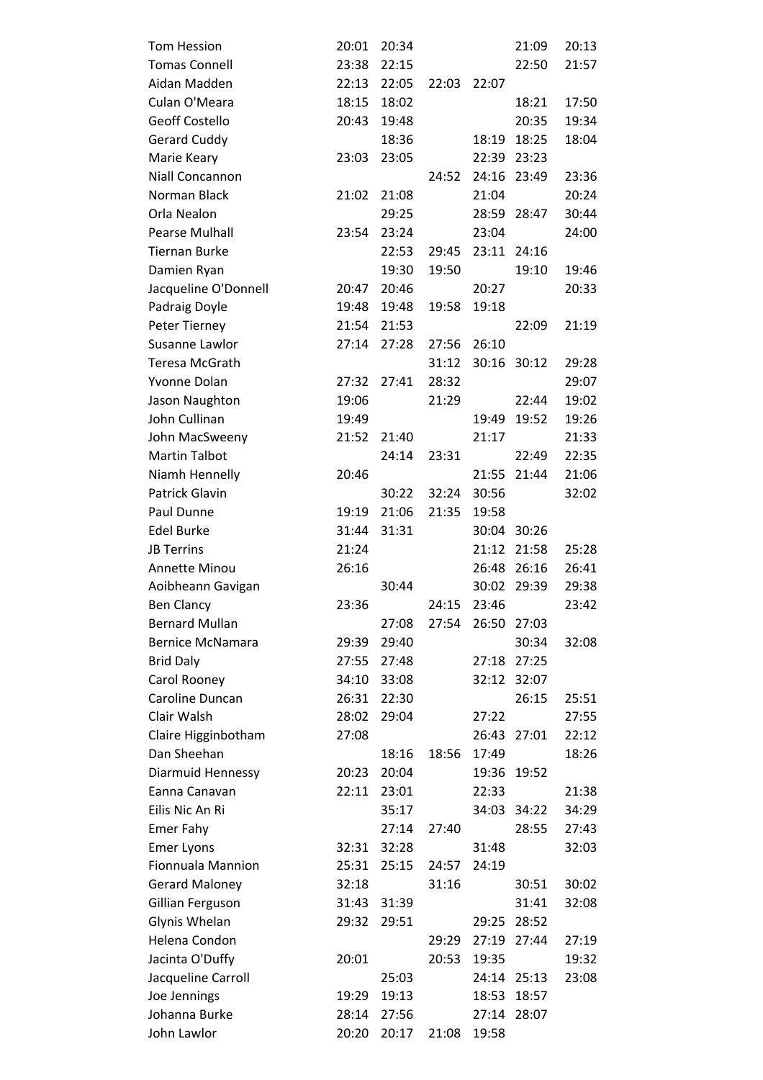| <b>Tom Hession</b>       | 20:01 | 20:34 |       |       | 21:09       | 20:13 |
|--------------------------|-------|-------|-------|-------|-------------|-------|
| <b>Tomas Connell</b>     | 23:38 | 22:15 |       |       | 22:50       | 21:57 |
| Aidan Madden             | 22:13 | 22:05 | 22:03 | 22:07 |             |       |
| Culan O'Meara            | 18:15 | 18:02 |       |       | 18:21       | 17:50 |
| <b>Geoff Costello</b>    | 20:43 | 19:48 |       |       | 20:35       | 19:34 |
| <b>Gerard Cuddy</b>      |       | 18:36 |       | 18:19 | 18:25       | 18:04 |
| Marie Keary              | 23:03 | 23:05 |       | 22:39 | 23:23       |       |
| Niall Concannon          |       |       | 24:52 | 24:16 | 23:49       | 23:36 |
| Norman Black             | 21:02 | 21:08 |       | 21:04 |             | 20:24 |
| Orla Nealon              |       | 29:25 |       |       | 28:59 28:47 | 30:44 |
| <b>Pearse Mulhall</b>    | 23:54 | 23:24 |       | 23:04 |             | 24:00 |
| <b>Tiernan Burke</b>     |       | 22:53 | 29:45 |       | 23:11 24:16 |       |
| Damien Ryan              |       | 19:30 | 19:50 |       | 19:10       | 19:46 |
| Jacqueline O'Donnell     | 20:47 | 20:46 |       | 20:27 |             | 20:33 |
| Padraig Doyle            | 19:48 | 19:48 | 19:58 | 19:18 |             |       |
| Peter Tierney            | 21:54 | 21:53 |       |       | 22:09       | 21:19 |
| Susanne Lawlor           | 27:14 | 27:28 | 27:56 | 26:10 |             |       |
| Teresa McGrath           |       |       | 31:12 | 30:16 | 30:12       | 29:28 |
| Yvonne Dolan             | 27:32 | 27:41 | 28:32 |       |             | 29:07 |
| Jason Naughton           | 19:06 |       | 21:29 |       | 22:44       | 19:02 |
| John Cullinan            | 19:49 |       |       | 19:49 | 19:52       | 19:26 |
| John MacSweeny           | 21:52 | 21:40 |       | 21:17 |             | 21:33 |
| <b>Martin Talbot</b>     |       | 24:14 | 23:31 |       | 22:49       | 22:35 |
| Niamh Hennelly           | 20:46 |       |       | 21:55 | 21:44       | 21:06 |
| <b>Patrick Glavin</b>    |       | 30:22 | 32:24 | 30:56 |             | 32:02 |
| Paul Dunne               | 19:19 | 21:06 | 21:35 | 19:58 |             |       |
| <b>Edel Burke</b>        | 31:44 | 31:31 |       | 30:04 | 30:26       |       |
| <b>JB Terrins</b>        | 21:24 |       |       | 21:12 | 21:58       | 25:28 |
| <b>Annette Minou</b>     | 26:16 |       |       | 26:48 | 26:16       | 26:41 |
| Aoibheann Gavigan        |       | 30:44 |       | 30:02 | 29:39       | 29:38 |
| <b>Ben Clancy</b>        | 23:36 |       | 24:15 | 23:46 |             | 23:42 |
| <b>Bernard Mullan</b>    |       | 27:08 | 27:54 | 26:50 | 27:03       |       |
| <b>Bernice McNamara</b>  | 29:39 | 29:40 |       |       | 30:34       | 32:08 |
| <b>Brid Daly</b>         | 27:55 | 27:48 |       | 27:18 | 27:25       |       |
| Carol Rooney             | 34:10 | 33:08 |       | 32:12 | 32:07       |       |
| Caroline Duncan          | 26:31 | 22:30 |       |       | 26:15       | 25:51 |
| Clair Walsh              | 28:02 | 29:04 |       | 27:22 |             | 27:55 |
| Claire Higginbotham      | 27:08 |       |       |       | 26:43 27:01 | 22:12 |
| Dan Sheehan              |       | 18:16 | 18:56 | 17:49 |             | 18:26 |
| Diarmuid Hennessy        | 20:23 | 20:04 |       | 19:36 | 19:52       |       |
| Eanna Canavan            | 22:11 | 23:01 |       | 22:33 |             | 21:38 |
| Eilis Nic An Ri          |       | 35:17 |       |       | 34:03 34:22 | 34:29 |
| <b>Emer Fahy</b>         |       | 27:14 | 27:40 |       | 28:55       | 27:43 |
| <b>Emer Lyons</b>        | 32:31 | 32:28 |       | 31:48 |             | 32:03 |
| <b>Fionnuala Mannion</b> | 25:31 | 25:15 | 24:57 | 24:19 |             |       |
| <b>Gerard Maloney</b>    | 32:18 |       | 31:16 |       | 30:51       | 30:02 |
| Gillian Ferguson         | 31:43 | 31:39 |       |       | 31:41       | 32:08 |
| Glynis Whelan            | 29:32 | 29:51 |       | 29:25 | 28:52       |       |
| Helena Condon            |       |       | 29:29 | 27:19 | 27:44       | 27:19 |
| Jacinta O'Duffy          | 20:01 |       | 20:53 | 19:35 |             | 19:32 |
| Jacqueline Carroll       |       | 25:03 |       |       | 24:14 25:13 | 23:08 |
| Joe Jennings             | 19:29 | 19:13 |       | 18:53 | 18:57       |       |
| Johanna Burke            | 28:14 | 27:56 |       | 27:14 | 28:07       |       |
| John Lawlor              | 20:20 | 20:17 | 21:08 | 19:58 |             |       |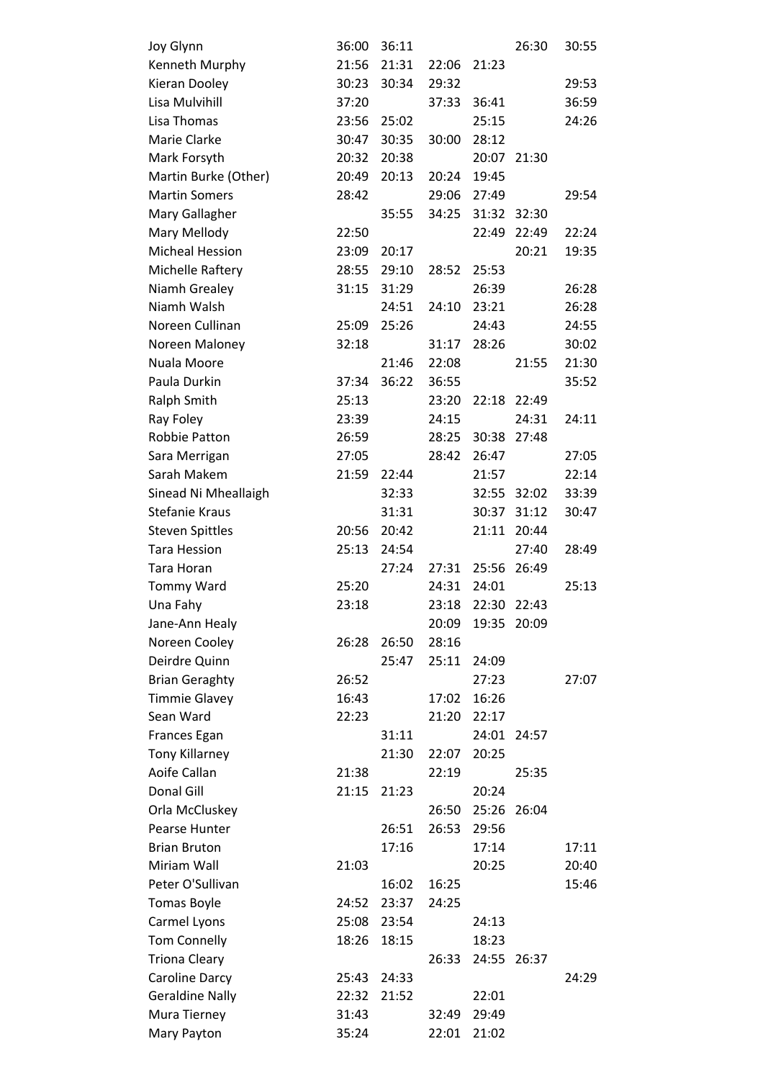| Joy Glynn              | 36:00 | 36:11 |       |       | 26:30       | 30:55 |
|------------------------|-------|-------|-------|-------|-------------|-------|
| Kenneth Murphy         | 21:56 | 21:31 | 22:06 | 21:23 |             |       |
| Kieran Dooley          | 30:23 | 30:34 | 29:32 |       |             | 29:53 |
| Lisa Mulvihill         | 37:20 |       | 37:33 | 36:41 |             | 36:59 |
| Lisa Thomas            | 23:56 | 25:02 |       | 25:15 |             | 24:26 |
| Marie Clarke           | 30:47 | 30:35 | 30:00 | 28:12 |             |       |
| Mark Forsyth           | 20:32 | 20:38 |       | 20:07 | 21:30       |       |
| Martin Burke (Other)   | 20:49 | 20:13 | 20:24 | 19:45 |             |       |
| <b>Martin Somers</b>   | 28:42 |       | 29:06 | 27:49 |             | 29:54 |
| Mary Gallagher         |       | 35:55 | 34:25 | 31:32 | 32:30       |       |
| Mary Mellody           | 22:50 |       |       | 22:49 | 22:49       | 22:24 |
| <b>Micheal Hession</b> | 23:09 | 20:17 |       |       | 20:21       | 19:35 |
| Michelle Raftery       | 28:55 | 29:10 | 28:52 | 25:53 |             |       |
| Niamh Grealey          | 31:15 | 31:29 |       | 26:39 |             | 26:28 |
| Niamh Walsh            |       | 24:51 | 24:10 | 23:21 |             | 26:28 |
| Noreen Cullinan        | 25:09 | 25:26 |       | 24:43 |             | 24:55 |
| Noreen Maloney         | 32:18 |       | 31:17 | 28:26 |             | 30:02 |
| Nuala Moore            |       | 21:46 | 22:08 |       | 21:55       | 21:30 |
| Paula Durkin           | 37:34 | 36:22 | 36:55 |       |             | 35:52 |
| Ralph Smith            | 25:13 |       | 23:20 | 22:18 | 22:49       |       |
| Ray Foley              | 23:39 |       | 24:15 |       | 24:31       | 24:11 |
| Robbie Patton          | 26:59 |       | 28:25 | 30:38 | 27:48       |       |
| Sara Merrigan          | 27:05 |       | 28:42 | 26:47 |             | 27:05 |
| Sarah Makem            | 21:59 | 22:44 |       | 21:57 |             | 22:14 |
| Sinead Ni Mheallaigh   |       | 32:33 |       | 32:55 | 32:02       | 33:39 |
| <b>Stefanie Kraus</b>  |       | 31:31 |       | 30:37 | 31:12       | 30:47 |
| <b>Steven Spittles</b> | 20:56 | 20:42 |       | 21:11 | 20:44       |       |
| <b>Tara Hession</b>    | 25:13 | 24:54 |       |       | 27:40       | 28:49 |
| Tara Horan             |       | 27:24 | 27:31 | 25:56 | 26:49       |       |
| <b>Tommy Ward</b>      | 25:20 |       | 24:31 | 24:01 |             | 25:13 |
| Una Fahy               | 23:18 |       | 23:18 | 22:30 | 22:43       |       |
| Jane-Ann Healy         |       |       | 20:09 | 19:35 | 20:09       |       |
| Noreen Cooley          | 26:28 | 26:50 | 28:16 |       |             |       |
| Deirdre Quinn          |       | 25:47 | 25:11 | 24:09 |             |       |
| <b>Brian Geraghty</b>  | 26:52 |       |       | 27:23 |             | 27:07 |
| <b>Timmie Glavey</b>   | 16:43 |       | 17:02 | 16:26 |             |       |
| Sean Ward              | 22:23 |       | 21:20 | 22:17 |             |       |
| Frances Egan           |       | 31:11 |       | 24:01 | 24:57       |       |
| <b>Tony Killarney</b>  |       | 21:30 | 22:07 | 20:25 |             |       |
| Aoife Callan           | 21:38 |       | 22:19 |       | 25:35       |       |
| Donal Gill             | 21:15 | 21:23 |       | 20:24 |             |       |
| Orla McCluskey         |       |       | 26:50 | 25:26 | 26:04       |       |
| Pearse Hunter          |       | 26:51 | 26:53 | 29:56 |             |       |
| <b>Brian Bruton</b>    |       | 17:16 |       | 17:14 |             | 17:11 |
| Miriam Wall            | 21:03 |       |       | 20:25 |             | 20:40 |
| Peter O'Sullivan       |       | 16:02 | 16:25 |       |             | 15:46 |
| <b>Tomas Boyle</b>     | 24:52 | 23:37 | 24:25 |       |             |       |
| Carmel Lyons           | 25:08 | 23:54 |       | 24:13 |             |       |
| <b>Tom Connelly</b>    | 18:26 | 18:15 |       | 18:23 |             |       |
| <b>Triona Cleary</b>   |       |       | 26:33 |       | 24:55 26:37 |       |
| Caroline Darcy         | 25:43 | 24:33 |       |       |             | 24:29 |
| <b>Geraldine Nally</b> | 22:32 | 21:52 |       | 22:01 |             |       |
| Mura Tierney           | 31:43 |       | 32:49 | 29:49 |             |       |
| Mary Payton            | 35:24 |       | 22:01 | 21:02 |             |       |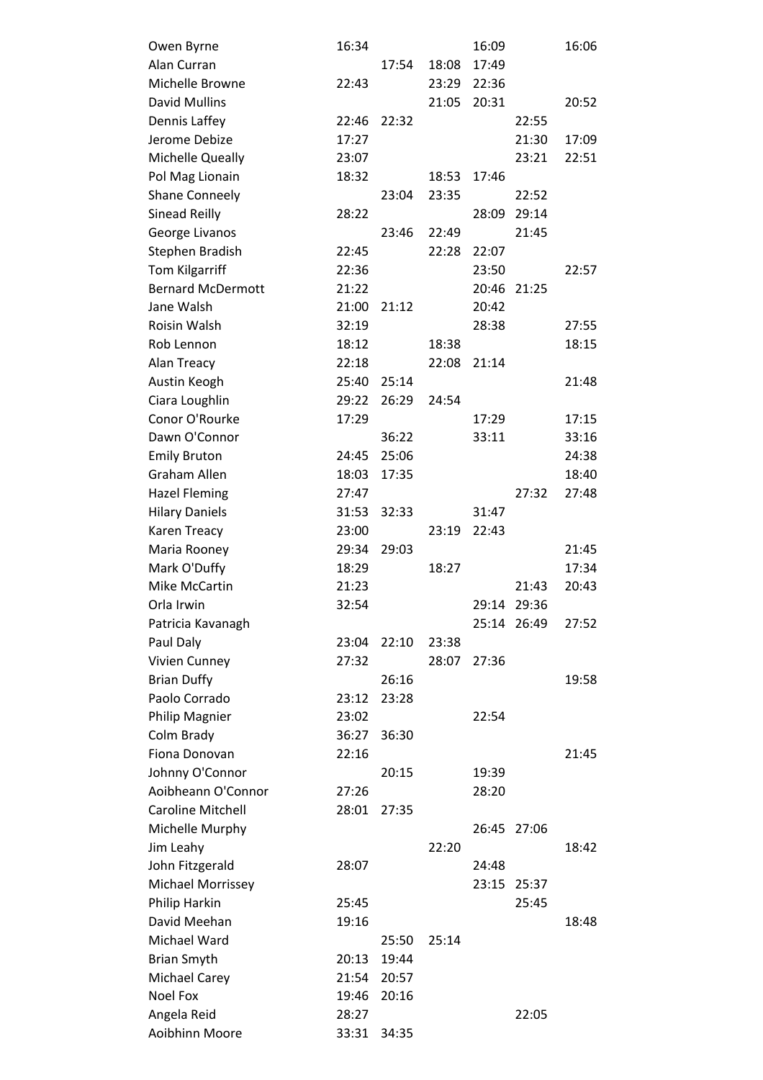| Owen Byrne               | 16:34 |       |       | 16:09 |             | 16:06 |
|--------------------------|-------|-------|-------|-------|-------------|-------|
| Alan Curran              |       | 17:54 | 18:08 | 17:49 |             |       |
| Michelle Browne          | 22:43 |       | 23:29 | 22:36 |             |       |
| <b>David Mullins</b>     |       |       | 21:05 | 20:31 |             | 20:52 |
| Dennis Laffey            | 22:46 | 22:32 |       |       | 22:55       |       |
| Jerome Debize            | 17:27 |       |       |       | 21:30       | 17:09 |
| Michelle Queally         | 23:07 |       |       |       | 23:21       | 22:51 |
| Pol Mag Lionain          | 18:32 |       | 18:53 | 17:46 |             |       |
| <b>Shane Conneely</b>    |       | 23:04 | 23:35 |       | 22:52       |       |
| Sinead Reilly            | 28:22 |       |       | 28:09 | 29:14       |       |
| George Livanos           |       | 23:46 | 22:49 |       | 21:45       |       |
| Stephen Bradish          | 22:45 |       | 22:28 | 22:07 |             |       |
| <b>Tom Kilgarriff</b>    | 22:36 |       |       | 23:50 |             | 22:57 |
| <b>Bernard McDermott</b> | 21:22 |       |       | 20:46 | 21:25       |       |
| Jane Walsh               | 21:00 | 21:12 |       | 20:42 |             |       |
| Roisin Walsh             | 32:19 |       |       | 28:38 |             | 27:55 |
| Rob Lennon               | 18:12 |       | 18:38 |       |             | 18:15 |
| Alan Treacy              | 22:18 |       | 22:08 | 21:14 |             |       |
| Austin Keogh             | 25:40 | 25:14 |       |       |             | 21:48 |
| Ciara Loughlin           | 29:22 | 26:29 | 24:54 |       |             |       |
| Conor O'Rourke           | 17:29 |       |       | 17:29 |             | 17:15 |
| Dawn O'Connor            |       | 36:22 |       | 33:11 |             | 33:16 |
| <b>Emily Bruton</b>      | 24:45 | 25:06 |       |       |             | 24:38 |
| <b>Graham Allen</b>      | 18:03 | 17:35 |       |       |             | 18:40 |
| <b>Hazel Fleming</b>     | 27:47 |       |       |       | 27:32       | 27:48 |
| <b>Hilary Daniels</b>    | 31:53 | 32:33 |       | 31:47 |             |       |
| Karen Treacy             | 23:00 |       | 23:19 | 22:43 |             |       |
| Maria Rooney             | 29:34 | 29:03 |       |       |             | 21:45 |
| Mark O'Duffy             | 18:29 |       | 18:27 |       |             | 17:34 |
| Mike McCartin            | 21:23 |       |       |       | 21:43       | 20:43 |
| Orla Irwin               | 32:54 |       |       | 29:14 | 29:36       |       |
| Patricia Kavanagh        |       |       |       |       | 25:14 26:49 | 27:52 |
| Paul Daly                | 23:04 | 22:10 | 23:38 |       |             |       |
| Vivien Cunney            | 27:32 |       | 28:07 | 27:36 |             |       |
| <b>Brian Duffy</b>       |       | 26:16 |       |       |             | 19:58 |
| Paolo Corrado            | 23:12 | 23:28 |       |       |             |       |
| Philip Magnier           | 23:02 |       |       | 22:54 |             |       |
| Colm Brady               | 36:27 | 36:30 |       |       |             |       |
| Fiona Donovan            | 22:16 |       |       |       |             | 21:45 |
| Johnny O'Connor          |       | 20:15 |       | 19:39 |             |       |
| Aoibheann O'Connor       | 27:26 |       |       | 28:20 |             |       |
| <b>Caroline Mitchell</b> | 28:01 | 27:35 |       |       |             |       |
| Michelle Murphy          |       |       |       | 26:45 | 27:06       |       |
| Jim Leahy                |       |       | 22:20 |       |             | 18:42 |
| John Fitzgerald          | 28:07 |       |       | 24:48 |             |       |
| Michael Morrissey        |       |       |       | 23:15 | 25:37       |       |
| Philip Harkin            | 25:45 |       |       |       | 25:45       |       |
| David Meehan             | 19:16 |       |       |       |             | 18:48 |
| Michael Ward             |       | 25:50 | 25:14 |       |             |       |
| <b>Brian Smyth</b>       | 20:13 | 19:44 |       |       |             |       |
| Michael Carey            | 21:54 | 20:57 |       |       |             |       |
| <b>Noel Fox</b>          | 19:46 | 20:16 |       |       |             |       |
| Angela Reid              | 28:27 |       |       |       | 22:05       |       |
| Aoibhinn Moore           | 33:31 | 34:35 |       |       |             |       |